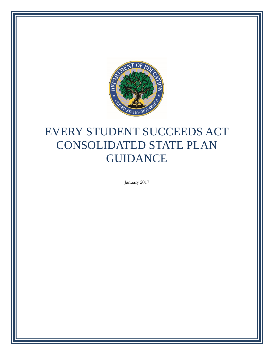

# EVERY STUDENT SUCCEEDS ACT CONSOLIDATED STATE PLAN GUIDANCE

January 2017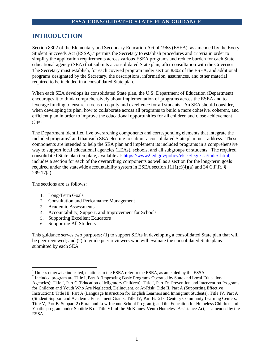# **INTRODUCTION**

Section 8302 of the Elementary and Secondary Education Act of 1965 (ESEA), as amended by the Every Student Succeeds Act  $(ESSA)$ ,<sup>[1](#page-1-0)</sup> permits the Secretary to establish procedures and criteria in order to simplify the application requirements across various ESEA programs and reduce burden for each State educational agency (SEA) that submits a consolidated State plan, after consultation with the Governor. The Secretary must establish, for each covered program under section 8302 of the ESEA, and additional programs designated by the Secretary, the descriptions, information, assurances, and other material required to be included in a consolidated State plan.

When each SEA develops its consolidated State plan, the U.S. Department of Education (Department) encourages it to think comprehensively about implementation of programs across the ESEA and to leverage funding to ensure a focus on equity and excellence for all students. An SEA should consider, when developing its plan, how to collaborate across all programs to build a more cohesive, coherent, and efficient plan in order to improve the educational opportunities for all children and close achievement gaps.

The Department identified five overarching components and corresponding elements that integrate the included programs<sup>[2](#page-1-1)</sup> and that each SEA electing to submit a consolidated State plan must address. These components are intended to help the SEA plan and implement its included programs in a comprehensive way to support local educational agencies (LEAs), schools, and all subgroups of students. The required consolidated State plan template, available at: [https://www2.ed.gov/policy/elsec/leg/essa/index.html,](https://www2.ed.gov/policy/elsec/leg/essa/index.html) includes a section for each of the overarching components as well as a section for the long-term goals required under the statewide accountability system in ESEA section  $1111(c)(4)(a)$  and 34 C.F.R. § 299.17(a).

The sections are as follows:

- 1. Long-Term Goals
- 2. Consultation and Performance Management
- 3. Academic Assessments
- 4. Accountability, Support, and Improvement for Schools
- 5. Supporting Excellent Educators
- 6. Supporting All Students

This guidance serves two purposes: (1) to support SEAs in developing a consolidated State plan that will be peer reviewed; and (2) to guide peer reviewers who will evaluate the consolidated State plans submitted by each SEA.

<span id="page-1-0"></span> $<sup>1</sup>$  Unless otherwise indicated, citations to the ESEA refer to the ESEA, as amended by the ESSA.</sup>

<span id="page-1-1"></span><sup>&</sup>lt;sup>2</sup> Included program are Title I, Part A (Improving Basic Programs Operated by State and Local Educational Agencies); Title I, Part C (Education of Migratory Children); Title I, Part D: Prevention and Intervention Programs for Children and Youth Who Are Neglected, Delinquent, or At-Risk; Title II, Part A (Supporting Effective Instruction); Title III, Part A (Language Instruction for English Learners and Immigrant Students); Title IV, Part A (Student Support and Academic Enrichment Grants; Title IV, Part B: 21st Century Community Learning Centers; Title V, Part B, Subpart 2 (Rural and Low-Income School Program); and the Education for Homeless Children and Youths program under Subtitle B of Title VII of the McKinney-Vento Homeless Assistance Act, as amended by the ESSA.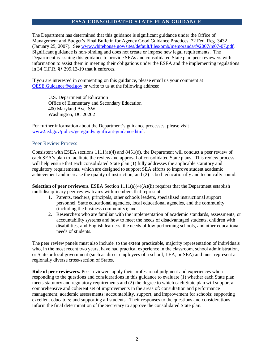The Department has determined that this guidance is significant guidance under the Office of Management and Budget's Final Bulletin for Agency Good Guidance Practices, 72 Fed. Reg. 3432 (January 25, 2007). See [www.whitehouse.gov/sites/default/files/omb/memoranda/fy2007/m07-07.pdf.](http://www.whitehouse.gov/sites/default/files/omb/memoranda/fy2007/m07-07.pdf)  Significant guidance is non-binding and does not create or impose new legal requirements. The Department is issuing this guidance to provide SEAs and consolidated State plan peer reviewers with information to assist them in meeting their obligations under the ESEA and the implementing regulations in 34 C.F.R. §§ 299.13-19 that it enforces.

If you are interested in commenting on this guidance, please email us your comment at [OESE.Guidance@ed.gov](mailto:OESE.Guidance@ed.gov) or write to us at the following address:

U.S. Department of Education Office of Elementary and Secondary Education 400 Maryland Ave, SW Washington, DC 20202

For further information about the Department's guidance processes, please visit [www2.ed.gov/policy/gen/guid/significant-guidance.html.](http://www2.ed.gov/policy/gen/guid/significant-guidance.html)

## Peer Review Process

Consistent with ESEA sections  $1111(a)(4)$  and  $8451(d)$ , the Department will conduct a peer review of each SEA's plan to facilitate the review and approval of consolidated State plans. This review process will help ensure that each consolidated State plan (1) fully addresses the applicable statutory and regulatory requirements, which are designed to support SEA efforts to improve student academic achievement and increase the quality of instruction, and (2) is both educationally and technically sound.

**Selection of peer reviewers.** ESEA Section  $1111(a)(4)(A)(ii)$  requires that the Department establish multidisciplinary peer-review teams with members that represent:

- 1. Parents, teachers, principals, other schools leaders, specialized instructional support personnel, State educational agencies, local educational agencies, and the community (including the business community); and
- 2. Researchers who are familiar with the implementation of academic standards, assessments, or accountability systems and how to meet the needs of disadvantaged students, children with disabilities, and English learners, the needs of low-performing schools, and other educational needs of students.

The peer review panels must also include, to the extent practicable, majority representation of individuals who, in the most recent two years, have had practical experience in the classroom, school administration, or State or local government (such as direct employees of a school, LEA, or SEA) and must represent a regionally diverse cross-section of States.

**Role of peer reviewers.** Peer reviewers apply their professional judgment and experiences when responding to the questions and considerations in this guidance to evaluate (1) whether each State plan meets statutory and regulatory requirements and (2) the degree to which each State plan will support a comprehensive and coherent set of improvements in the areas of: consultation and performance management; academic assessments; accountability, support, and improvement for schools; supporting excellent educators; and supporting all students. Their responses to the questions and considerations inform the final determination of the Secretary to approve the consolidated State plan.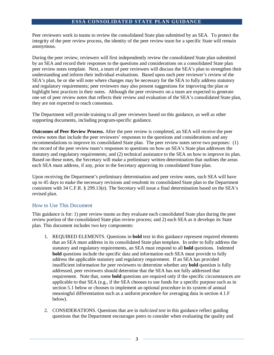Peer reviewers work in teams to review the consolidated State plan submitted by an SEA. To protect the integrity of the peer review process, the identity of the peer review team for a specific State will remain anonymous.

During the peer review, reviewers will first independently review the consolidated State plan submitted by an SEA and record their responses to the questions and considerations on a consolidated State plan peer review notes template. Next, a team of peer reviewers will discuss the SEA's plan to strengthen their understanding and inform their individual evaluations. Based upon each peer reviewer's review of the SEA's plan, he or she will note where changes may be necessary for the SEA to fully address statutory and regulatory requirements; peer reviewers may also present suggestions for improving the plan or highlight best practices in their notes. Although the peer reviewers on a team are expected to generate one set of peer review notes that reflects their review and evaluation of the SEA's consolidated State plan, they are not expected to reach consensus.

The Department will provide training to all peer reviewers based on this guidance, as well as other supporting documents, including program-specific guidance.

**Outcomes of Peer Review Process.** After the peer review is completed, an SEA will receive the peer review notes that include the peer reviewers' responses to the questions and considerations and any recommendations to improve its consolidated State plan. The peer review notes serve two purposes: (1) the record of the peer review team's responses to questions on how an SEA's State plan addresses the statutory and regulatory requirements; and (2) technical assistance to the SEA on how to improve its plan. Based on these notes, the Secretary will make a preliminary written determination that outlines the areas each SEA must address, if any, prior to the Secretary approving its consolidated State plan.

Upon receiving the Department's preliminary determination and peer review notes, each SEA will have up to 45 days to make the necessary revisions and resubmit its consolidated State plan to the Department consistent with 34 C.F.R. § 299.13(e). The Secretary will issue a final determination based on the SEA's revised plan.

# How to Use This Document

This guidance is for: 1) peer review teams as they evaluate each consolidated State plan during the peer review portion of the consolidated State plan review process; and 2) each SEA as it develops its State plan. This document includes two key components:

- 1. REQUIRED ELEMENTS. Questions in **bold** text in this guidance represent required elements that an SEA must address in its consolidated State plan template. In order to fully address the statutory and regulatory requirements, an SEA must respond to all **bold** questions. Indented **bold** questions include the specific data and information each SEA must provide to fully address the applicable statutory and regulatory requirement. If an SEA has provided insufficient information for peer reviewers to determine whether any **bold** question is fully addressed, peer reviewers should determine that the SEA has not fully addressed that requirement. Note that, some **bold** questions are required only if the specific circumstances are applicable to that SEA (e.g., if the SEA chooses to use funds for a specific purpose such as in section 5.1 below or chooses to implement an optional procedure in its system of annual meaningful differentiation such as a uniform procedure for averaging data in section 4.1.F below).
- 2. CONSIDERATIONS. Questions that are in *italicized text* in this guidance reflect guiding questions that the Department encourages peers to consider when evaluating the quality and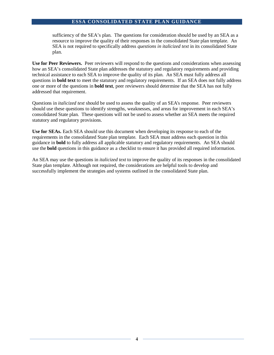sufficiency of the SEA's plan. The questions for consideration should be used by an SEA as a resource to improve the quality of their responses in the consolidated State plan template. An SEA is not required to specifically address *questions in italicized text* in its consolidated State plan.

**Use for Peer Reviewers.** Peer reviewers will respond to the questions and considerations when assessing how an SEA's consolidated State plan addresses the statutory and regulatory requirements and providing technical assistance to each SEA to improve the quality of its plan. An SEA must fully address all questions in **bold text** to meet the statutory and regulatory requirements. If an SEA does not fully address one or more of the questions in **bold text**, peer reviewers should determine that the SEA has not fully addressed that requirement.

Questions in *italicized text* should be used to assess the quality of an SEA's response. Peer reviewers should use these questions to identify strengths, weaknesses, and areas for improvement in each SEA's consolidated State plan. These questions will not be used to assess whether an SEA meets the required statutory and regulatory provisions.

**Use for SEAs.** Each SEA should use this document when developing its response to each of the requirements in the consolidated State plan template. Each SEA must address each question in this guidance in **bold** to fully address all applicable statutory and regulatory requirements. An SEA should use the **bold** questions in this guidance as a checklist to ensure it has provided all required information.

An SEA may use the questions in *italicized text* to improve the quality of its responses in the consolidated State plan template. Although not required, the considerations are helpful tools to develop and successfully implement the strategies and systems outlined in the consolidated State plan.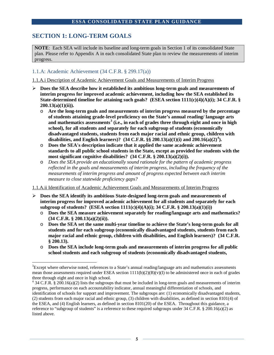# **SECTION 1: LONG-TERM GOALS**

**NOTE**: Each SEA will include its baseline and long-term goals in Section 1 of its consolidated State plan. Please refer to Appendix A in each consolidated State plan to review the measurements of interim progress.

# 1.1.A: Academic Achievement (34 C.F.R. § 299.17(a))

1.1.A.i Description of Academic Achievement Goals and Measurements of Interim Progress

- **Does the SEA describe how it established its ambitious long-term goals and measurements of interim progress for improved academic achievement, including how the SEA established its State-determined timeline for attaining such goals? (ESEA section 1111(c)(4)(A)(i); 34 C.F.R. § 200.13(a)(1)(ii)).**
	- o **Are the long-term goals and measurements of interim progress measured by the percentage of students attaining grade-level proficiency on the State's annual reading/ language arts and mathematics assessments[3](#page-5-0) (i.e., in each of grades three through eight and once in high school), for all students and separately for each subgroup of students (economically disadvantaged students, students from each major racial and ethnic group, children with disabilities, and English learners)? (34 C.F.R. §§ 200.13(a)(1)(i) and 200.16(a)(2)[4](#page-5-1) ).**
	- o **Does the SEA's description indicate that it applied the same academic achievement standards to all public school students in the State, except as provided for students with the most significant cognitive disabilities? (34 C.F.R. § 200.13(a)(2)(i)).**
	- o *Does the SEA provide an educationally sound rationale for the pattern of academic progress reflected in the goals and measurements of interim progress, including the frequency of the measurements of interim progress and amount of progress expected between each interim measure to close statewide proficiency gaps?*

1.1.A.ii Identification of Academic Achievement Goals and Measurements of Interim Progress

- **Does the SEA identify its ambitious State-designed long-term goals and measurements of interim progress for improved academic achievement for all students and separately for each subgroup of students? (ESEA section 1111(c)(4)(A)(i); 34 C.F.R. § 200.13(a)(1)(i))**
	- o **Does the SEA measure achievement separately for reading/language arts and mathematics? (34 C.F.R. § 200.13(a)(2)(ii)).**
	- o **Does the SEA set the same multi-year timeline to achieve the State's long-term goals for all students and for each subgroup (economically disadvantaged students, students from each major racial and ethnic group, children with disabilities, and English learners)? (34 C.F.R. § 200.13).**
	- o **Does the SEA include long-term goals and measurements of interim progress for all public school students and each subgroup of students (economically disadvantaged students,**

<span id="page-5-1"></span>progress, performance on each accountability indicator, annual meaningful differentiation of schools, and

<span id="page-5-0"></span><sup>&</sup>lt;sup>2</sup><br>3  ${}^{3}$ Except where otherwise noted, references to a State's annual reading/language arts and mathematics assessments mean those assessments required under ESEA section  $1111(b)(2)(B)(v)(I)$  to be administered once in each of grades three through eight and once in high school.<br><sup>4</sup> 34 C.F.R. § 200.16(a)(2) lists the subgroups that must be included in long-term goals and measurements of interim

identification of schools for support and improvement. The subgroups are: (1) economically disadvantaged students, (2) students from each major racial and ethnic group, (3) children with disabilities, as defined in section 8101(4) of the ESEA, and (4) English learners, as defined in section 8101(20) of the ESEA. Throughout this guidance, a reference to "subgroup of students" is a reference to these required subgroups under 34 C.F.R. § 200.16(a)(2) as listed above.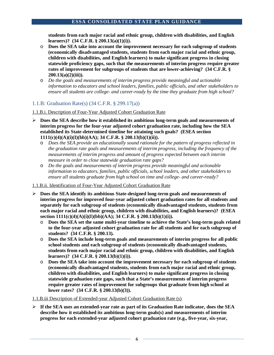**students from each major racial and ethnic group, children with disabilities, and English learners)? (34 C.F.R. § 200.13(a)(1)(i)).** 

- o **Does the SEA take into account the improvement necessary for each subgroup of students (economically disadvantaged students, students from each major racial and ethnic group, children with disabilities, and English learners) to make significant progress in closing statewide proficiency gaps, such that the measurements of interim progress require greater rates of improvement for subgroups of students that are lower-achieving? (34 C.F.R. § 200.13(a)(2)(iii)).**
- o *Do the goals and measurements of interim progress provide meaningful and actionable information to educators and school leaders, families, public officials, and other stakeholders to ensure all students are college- and career-ready by the time they graduate from high school?*

# 1.1.B: Graduation Rate(s) (34 C.F.R. § 299.17(a))

1.1.B.i. Description of Four-Year Adjusted Cohort Graduation Rate

- **Does the SEA describe how it established its ambitious long-term goals and measurements of interim progress for the four-year adjusted cohort graduation rate, including how the SEA established its State-determined timeline for attaining such goals? (ESEA section 1111(c)(4)(A)(i)(I)(bb)(AA); 34 C.F.R. § 200.13(b)(1)(ii)).**
	- o *Does the SEA provide an educationally sound rationale for the pattern of progress reflected in the graduation rate goals and measurements of interim progress, including the frequency of the measurements of interim progress and amount of progress expected between each interim measure in order to close statewide graduation rate gaps?*
	- o *Do the goals and measurements of interim progress provide meaningful and actionable information to educators, families, public officials, school leaders, and other stakeholders to ensure all students graduate from high school on time and college- and career-ready?*

# 1.1.B.ii. Identification of Four-Year Adjusted Cohort Graduation Rate

- **Does the SEA identify its ambitious State-designed long-term goals and measurements of interim progress for improved four-year adjusted cohort graduation rates for all students and separately for each subgroup of students (economically disadvantaged students, students from each major racial and ethnic group, children with disabilities, and English learners)? (ESEA section 1111(c)(4)(A)(i)(I)(bb)(AA); 34 C.F.R. § 200.13(b)(1)(i)).**
	- o **Does the SEA set the same multi-year timeline to achieve the State's long-term goals related to the four-year adjusted cohort graduation rate for all students and for each subgroup of students? (34 C.F.R. § 200.13).**
	- o **Does the SEA include long-term goals and measurements of interim progress for all public school students and each subgroup of students (economically disadvantaged students, students from each major racial and ethnic group, children with disabilities, and English learners)? (34 C.F.R. § 200.13(b)(1)(i)).**
	- o **Does the SEA take into account the improvement necessary for each subgroup of students (economically disadvantaged students, students from each major racial and ethnic group, children with disabilities, and English learners) to make significant progress in closing statewide graduation rate gaps, such that a State's measurements of interim progress require greater rates of improvement for subgroups that graduate from high school at lower rates? (34 C.F.R. § 200.13(b)(3)).**

# 1.1.B.iii Description of Extended-year Adjusted Cohort Graduation Rate (s)

 **If the SEA uses an extended-year rate as part of its Graduation Rate indicator, does the SEA describe how it established its ambitious long-term goals(s) and measurements of interim progress for each extended-year adjusted cohort graduation rate (e.g.***,* **five-year, six-year,**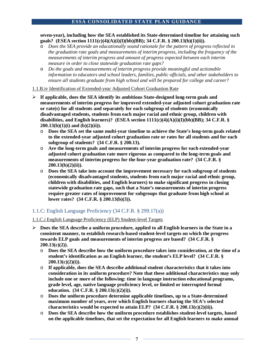**seven-year), including how the SEA established its State-determined timeline for attaining such goals? (ESEA section 1111(c)(4)(A)(i)(I)(bb)(BB); 34 C.F.R. § 200.13(b)(1)(ii)).** 

- o *Does the SEA provide an educationally sound rationale for the pattern of progress reflected in the graduation rate goals and measurements of interim progress, including the frequency of the measurements of interim progress and amount of progress expected between each interim measure in order to close statewide graduation rate gaps?*
- o *Do the goals and measurements of interim progress provide meaningful and actionable information to educators and school leaders, families, public officials, and other stakeholders to ensure all students graduate from high school and will be prepared for college and career?*

## 1.1.B.iv Identification of Extended-year Adjusted Cohort Graduation Rate

- **If applicable, does the SEA identify its ambitious State-designed long-term goals and measurements of interim progress for improved extended-year adjusted cohort graduation rate or rate(s) for all students and separately for each subgroup of students (economically disadvantaged students, students from each major racial and ethnic group, children with disabilities, and English learners)? (ESEA section 1111(c)(4)(A)(i)(I)(bb)(BB); 34 C.F.R. § 200.13(b)(1)(i) and (b)(2)(ii)).**
	- o **Does the SEA set the same multi-year timeline to achieve the State's long-term goals related to the extended-year adjusted cohort graduation rate or rates for all students and for each subgroup of students? (34 C.F.R. § 200.13).**
	- o **Are the long-term goals and measurements of interim progress for each extended-year adjusted cohort graduation rate more rigorous as compared to the long-term goals and measurements of interim progress for the four-year graduation rate? (34 C.F.R. § 200.13(b)(2)(ii)).**
	- o **Does the SEA take into account the improvement necessary for each subgroup of students (economically disadvantaged students, students from each major racial and ethnic group, children with disabilities, and English learners) to make significant progress in closing statewide graduation rate gaps, such that a State's measurements of interim progress require greater rates of improvement for subgroups that graduate from high school at lower rates? (34 C.F.R. § 200.13(b)(3)).**

# 1.1.C: English Language Proficiency (34 C.F.R. § 299.17(a))

# 1.1.C.i English Language Proficiency (ELP) Student-level Targets

- **Does the SEA describe a uniform procedure, applied to all English learners in the State in a consistent manner, to establish research-based student-level targets on which the progress towards ELP goals and measurements of interim progress are based? (34 C.F.R. § 200.13(c)(2)).**
	- o **Does the SEA describe how the uniform procedure takes into consideration, at the time of a student's identification as an English learner, the student's ELP level? (34 C.F.R. § 200.13(c)(2)(i)).**
	- o **If applicable, does the SEA describe additional student characteristics that it takes into consideration in its uniform procedure? Note that these additional characteristics may only include one or more of the following: time in language instruction educational programs, grade level, age, native language proficiency level, or limited or interrupted formal education. (34 C.F.R. § 200.13(c)(2)(i)).**
	- o **Does the uniform procedure determine applicable timelines, up to a State-determined maximum number of years, over which English learners sharing the SEA's selected characteristics would be expected to attain ELP? (34 C.F.R. § 200.13(c)(2)(ii)).**
	- o **Does the SEA describe how the uniform procedure establishes student-level targets, based on the applicable timelines, that set the expectation for all English learners to make annual**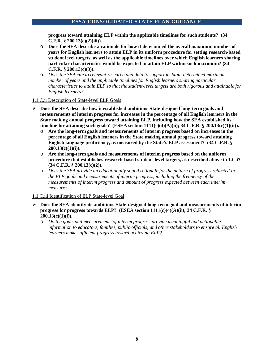**progress toward attaining ELP within the applicable timelines for such students? (34 C.F.R. § 200.13(c)(2)(iii)).**

- o **Does the SEA describe a rationale for how it determined the overall maximum number of years for English learners to attain ELP in its uniform procedure for setting research-based student level targets, as well as the applicable timelines over which English learners sharing particular characteristics would be expected to attain ELP within such maximum? (34 C.F.R. § 200.13(c)(3)).**
- o *Does the SEA cite to relevant research and data to support its State-determined maximum number of years and the applicable timelines for English learners sharing particular characteristics to attain ELP so that the student-level targets are both rigorous and attainable for English learners?*

## 1.1.C.ii Description of State-level ELP Goals

- **Does the SEA describe how it established ambitious State-designed long-term goals and measurements of interim progress for increases in the percentage of all English learners in the State making annual progress toward attaining ELP, including how the SEA established its timeline for attaining such goals? (ESEA section 1111(c)(4)(A)(ii); 34 C.F.R. § 200.13(c)(1)(ii)).**
	- o **Are the long-term goals and measurements of interim progress based on increases in the percentage of all English learners in the State making annual progress toward attaining English language proficiency, as measured by the State's ELP assessment? (34 C.F.R. § 200.13(c)(1)(i)).**
	- o **Are the long-term goals and measurements of interim progress based on the uniform procedure that establishes research-based student-level targets, as described above in 1.C.i? (34 C.F.R. § 200.13(c)(2)).**
	- o *Does the SEA provide an educationally sound rationale for the pattern of progress reflected in the ELP goals and measurements of interim progress, including the frequency of the measurements of interim progress and amount of progress expected between each interim measure?*

#### 1.1.C.iii Identification of ELP State-level Goal

- **Does the SEA identify its ambitious State-designed long-term goal and measurements of interim progress for progress towards ELP? (ESEA section 1111(c)(4)(A)(ii); 34 C.F.R. § 200.13(c)(1)(i)).**
	- o *Do the goals and measurements of interim progress provide meaningful and actionable information to educators, families, public officials, and other stakeholders to ensure all English learners make sufficient progress toward achieving ELP?*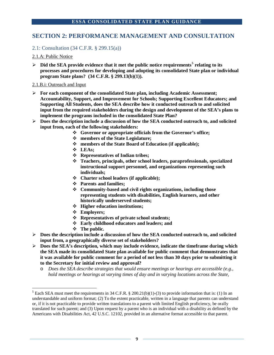# **SECTION 2: PERFORMANCE MANAGEMENT AND CONSULTATION**

# 2.1: Consultation (34 C.F.R. § 299.15(a))

## 2.1.A: Public Notice

 $\triangleright$  Did the SEA provide evidence that it met the public notice requirements<sup>[5](#page-9-0)</sup> relating to its **processes and procedures for developing and adopting its consolidated State plan or individual program State plans? (34 C.F.R. § 299.13(b)(1)).**

#### 2.1.B.i: Outreach and Input

- **For each component of the consolidated State plan, including Academic Assessment; Accountability, Support, and Improvement for Schools; Supporting Excellent Educators; and Supporting All Students, does the SEA describe how it conducted outreach to and solicited input from the required stakeholders during the design and development of the SEA's plans to implement the programs included in the consolidated State Plan?**
- **Does the description include a discussion of how the SEA conducted outreach to, and solicited input from, each of the following stakeholders:** 
	- **Governor or appropriate officials from the Governor's office;**
	- **members of the State Legislature;**
	- **members of the State Board of Education (if applicable);**
	- **LEAs;**
	- **Representatives of Indian tribes;**
	- **Teachers, principals, other school leaders, paraprofessionals, specialized instructional support personnel, and organizations representing such individuals;**
	- **Charter school leaders (if applicable);**
	- **Parents and families;**
	- **Community-based and civil rights organizations, including those representing students with disabilities, English learners, and other historically underserved students;**
	- **Higher education institutions;**
	- **Employers;**
	- **Representatives of private school students;**
	- **Early childhood educators and leaders; and**
	- **The public.**
- **Does the description include a discussion of how the SEA conducted outreach to, and solicited input from, a geographically diverse set of stakeholders?**
- **Does the SEA's description, which may include evidence, indicate the timeframe during which the SEA made its consolidated State plan available for public comment that demonstrates that it was available for public comment for a period of not less than 30 days prior to submitting it to the Secretary for initial review and approval?**
	- o *Does the SEA describe strategies that would ensure meetings or hearings are accessible (e.g., hold meetings or hearings at varying times of day and in varying locations across the State,*

<span id="page-9-0"></span><sup>&</sup>lt;sup>5</sup> Each SEA must meet the requirements in 34 C.F.R. § 200.21(b)(1)-(3) to provide information that is: (1) In an understandable and uniform format; (2) To the extent practicable, written in a language that parents can understand or, if it is not practicable to provide written translations to a parent with limited English proficiency, be orally translated for such parent; and (3) Upon request by a parent who is an individual with a disability as defined by the Americans with Disabilities Act, 42 U.S.C. 12102, provided in an alternative format accessible to that parent.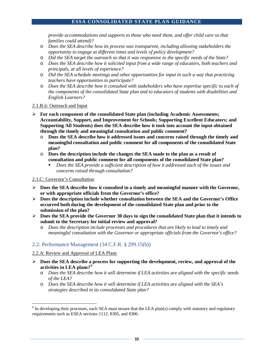*provide accommodations and supports to those who need them, and offer child care so that families could attend)?*

- o *Does the SEA describe how its process was transparent, including allowing stakeholders the opportunity to engage at different times and levels of policy development?*
- o *Did the SEA target the outreach so that it was responsive to the specific needs of the State?*
- o *Does the SEA describe how it solicited input from a wide range of educators, both teachers and principals, at all levels of experience?*
- o *Did the SEA schedule meetings and other opportunities for input in such a way that practicing teachers have opportunities to participate?*
- o *Does the SEA describe how it consulted with stakeholders who have expertise specific to each of the components of the consolidated State plan and to educators of students with disabilities and English Learners?*

#### 2.1.B.ii: Outreach and Input

- **For each component of the consolidated State plan (including Academic Assessments; Accountability, Support, and Improvement for Schools; Supporting Excellent Educators; and Supporting All Students) does the SEA describe how it took into account the input obtained through the timely and meaningful consultation and public comment?**
	- o **Does the SEA describe how it addressed issues and concerns raised through the timely and meaningful consultation and public comment for all components of the consolidated State plan?**
	- o **Does the description include the changes the SEA made to the plan as a result of consultation and public comment for all components of the consolidated State plan?**
		- *Does the SEA provide a sufficient description of how it addressed each of the issues and concerns raised through consultation?*

#### 2.1.C: Governor's Consultation

- **Does the SEA describe how it consulted in a timely and meaningful manner with the Governor, or with appropriate officials from the Governor's office?**
- **Does the description include whether consultation between the SEA and the Governor's Office occurred both during the development of the consolidated State plan and prior to the submission of the plan?**
- **Does the SEA provide the Governor 30 days to sign the consolidated State plan that it intends to submit to the Secretary for initial review and approval?**
	- o *Does the description include processes and procedures that are likely to lead to timely and meaningful consultation with the Governor or appropriate officials from the Governor's office?*

# 2.2: Performance Management (34 C.F.R. § 299.15(b))

#### 2.2.A: Review and Approval of LEA Plans

- **Does the SEA describe a process for supporting the development, review, and approval of the activities in LEA plans?[6](#page-10-0)**
	- o *Does the SEA describe how it will determine if LEA activities are aligned with the specific needs of the LEA?*
	- o *Does the SEA describe how it will determine if LEA activities are aligned with the SEA's strategies described in its consolidated State plan?*

<span id="page-10-0"></span><sup>&</sup>lt;sup>6</sup> In developing their processes, each SEA must ensure that the LEA plan(s) comply with statutory and regulatory requirements such as ESEA sections 1112, 8305, and 8306.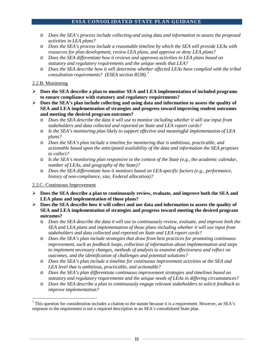- o *Does the SEA's process include collecting and using data and information to assess the proposed activities in LEA plans?*
- o *Does the SEA's process include a reasonable timeline by which the SEA will provide LEAs with resources for plan development, review LEA plans, and approve or deny LEA plans?*
- o *Does the SEA differentiate how it reviews and approves activities in LEA plans based on statutory and regulatory requirements and the unique needs that LEA?*
- o *Does the SEA describe how it will determine whether affected LEAs have complied with the tribal consultation requirements? (ESEA section 8538).[7](#page-11-0)*

## 2.2.B: Monitoring

- **Does the SEA describe a plan to monitor SEA and LEA implementation of included programs to ensure compliance with statutory and regulatory requirements?**
- $\triangleright$  Does the SEA's plan include collecting and using data and information to assess the quality of **SEA and LEA implementation of strategies and progress toward improving student outcomes and meeting the desired program outcomes?**
	- o *Does the SEA describe the data it will use to monitor including whether it will use input from stakeholders and data collected and reported on State and LEA report cards?*
	- o *Is the SEA's monitoring plan likely to support effective and meaningful implementation of LEA plans?*
	- o *Does the SEA's plan include a timeline for monitoring that is ambitious, practicable, and actionable based upon the anticipated availability of the data and information the SEA proposes to collect?*
	- o *Is the SEA's monitoring plan responsive to the context of the State (e.g., the academic calendar, number of LEAs, and geography of the State)?*
	- o *Does the SEA differentiate how it monitors based on LEA-specific factors (e.g., performance, history of non-compliance, size, Federal allocation)?*

# 2.2.C: Continuous Improvement

- **Does the SEA describe a plan to continuously review, evaluate, and improve both the SEA and LEA plans and implementation of those plans?**
- **Does the SEA describe how it will collect and use data and information to assess the quality of SEA and LEA implementation of strategies and progress toward meeting the desired program outcomes?**
	- o *Does the SEA describe the data it will use to continuously review, evaluate, and improve both the SEA and LEA plans and implementation of those plans including whether it will use input from stakeholders and data collected and reported on State and LEA report cards?*
	- o *Does the SEA's plan include strategies that draw from best practices for promoting continuous improvement, such as feedback loops, collection of information about implementation and steps to implement necessary changes, methods of analysis to examine effectiveness and reflect on outcomes, and the identification of challenges and potential solutions?*
	- o *Does the SEA's plan include a timeline for continuous improvement activities at the SEA and LEA level that is ambitious, practicable, and actionable?*
	- o *Does the SEA's plan differentiate continuous improvement strategies and timelines based on statutory and regulatory requirements and the unique needs of LEAs in differing circumstances?*
	- o *Does the SEA describe a plan to continuously engage relevant stakeholders to solicit feedback to improve implementation?*

<span id="page-11-0"></span> $7$  This question for consideration includes a citation to the statute because it is a requirement. However, an SEA's response to the requirement is not a required description in an SEA's consolidated State plan.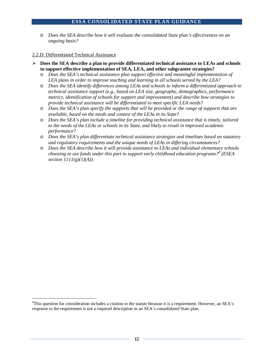o *Does the SEA describe how it will evaluate the consolidated State plan's effectiveness on an ongoing basis?*

#### 2.2.D: Differentiated Technical Assistance

- **Does the SEA describe a plan to provide differentiated technical assistance to LEAs and schools to support effective implementation of SEA, LEA, and other subgrantee strategies?** 
	- o *Does the SEA's technical assistance plan support effective and meaningful implementation of LEA plans in order to improve teaching and learning in all schools served by the LEA?*
	- o *Does the SEA identify differences among LEAs and schools to inform a differentiated approach to technical assistance support (e.g., based on LEA size, geography, demographics, performance metrics, identification of schools for support and improvement) and describe how strategies to provide technical assistance will be differentiated to meet specific LEA needs?*
	- o *Does the SEA's plan specify the supports that will be provided or the range of supports that are available, based on the needs and context of the LEAs in its State?*
	- o *Does the SEA's plan include a timeline for providing technical assistance that is timely, tailored to the needs of the LEAs or schools in its State, and likely to result in improved academic performance?*
	- o *Does the SEA's plan differentiate technical assistance strategies and timelines based on statutory and regulatory requirements and the unique needs of LEAs in differing circumstances?*
	- o *Does the SEA describe how it will provide assistance to LEAs and individual elementary schools choosing to use funds under this part to support early childhood education programs?[8](#page-12-0) (ESEA section 1111(g)(1)(A)).*

<span id="page-12-0"></span> <sup>8</sup>  ${}^{8}$ This question for consideration includes a citation to the statute because it is a requirement. However, an SEA's response to the requirement is not a required description in an SEA's consolidated State plan.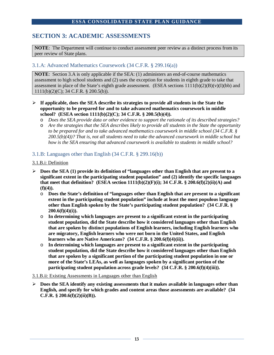# **SECTION 3: ACADEMIC ASSESSMENTS**

**NOTE**: The Department will continue to conduct assessment peer review as a distinct process from its peer review of State plans.

# 3.1.A: Advanced Mathematics Coursework (34 C.F.R. § 299.16(a))

**NOTE**: Section 3.A is only applicable if the SEA: (1) administers an end-of-course mathematics assessment to high school students and (2) uses the exception for students in eighth grade to take that assessment in place of the State's eighth grade assessment. (ESEA sections  $1111(b)(2)(B)(v)(I)(bb)$  and 1111(b)(2)(C); 34 C.F.R. § 200.5(b)).

- **If applicable, does the SEA describe its strategies to provide all students in the State the opportunity to be prepared for and to take advanced mathematics coursework in middle school? (ESEA section 1111(b)(2)(C); 34 C.F.R. § 200.5(b)(4)).**
	- o *Does the SEA provide data or other evidence to support the rationale of its described strategies?*
	- o *Are the strategies that the SEA describes likely to provide all students in the State the opportunity to be prepared for and to take advanced mathematics coursework in middle school (34 C.F.R. § 200.5(b)(4))? That is, not all students need to take the advanced coursework in middle school but how is the SEA ensuring that advanced coursework is available to students in middle school?*

## 3.1.B: Languages other than English (34 C.F.R. § 299.16(b))

#### 3.1.B.i: Definition

- $\triangleright$  Does the SEA (1) provide its definition of "languages other than English that are present to a **significant extent in the participating student population" and (2) identify the specific languages that meet that definition? (ESEA section 1111(b)(2)(F)(i); 34 C.F.R. § 200.6(f)(2)(ii)(A) and (f)(4)).**
	- o **Does the State's definition of "languages other than English that are present to a significant extent in the participating student population" include at least the most populous language other than English spoken by the State's participating student population? (34 C.F.R. § 200.6(f)(4)(i)).**
	- o **In determining which languages are present to a significant extent in the participating student population, did the State describe how it considered languages other than English that are spoken by distinct populations of English learners, including English learners who are migratory, English learners who were not born in the United States, and English learners who are Native Americans? (34 C.F.R. § 200.6(f)(4)(ii)).**
	- o **In determining which languages are present to a significant extent in the participating student population, did the State describe how it considered languages other than English that are spoken by a significant portion of the participating student population in one or more of the State's LEAs, as well as languages spoken by a significant portion of the participating student population across grade levels? (34 C.F.R. § 200.6(f)(4)(iii)).**

#### 3.1.B.ii: Existing Assessments in Languages other than English

 $\triangleright$  Does the SEA identify any existing assessments that it makes available in languages other than **English, and specify for which grades and content areas those assessments are available? (34 C.F.R. § 200.6(f)(2)(ii)(B)).**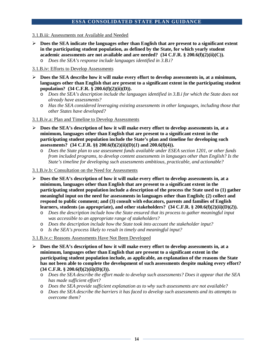- 3.1.B.iii: Assessments not Available and Needed
- $\triangleright$  Does the SEA indicate the languages other than English that are present to a significant extent **in the participating student population, as defined by the State, for which yearly student academic assessments are not available and are needed? (34 C.F.R. § 200.6(f)(2)(ii)(C)).**
	- o *Does the SEA's response include languages identified in 3.B.i?*

#### 3.1.B.iv: Efforts to Develop Assessments

- **Does the SEA describe how it will make every effort to develop assessments in, at a minimum, languages other than English that are present to a significant extent in the participating student population? (34 C.F.R. § 200.6(f)(2)(ii)(D)).**
	- o *Does the SEA's description include the languages identified in 3.B.i for which the State does not already have assessments?*
	- o *Has the SEA considered leveraging existing assessments in other languages, including those that other States have developed?*

#### 3.1.B.iv.a: Plan and Timeline to Develop Assessments

- **Does the SEA's description of how it will make every effort to develop assessments in, at a minimum, languages other than English that are present to a significant extent in the participating student population include the State's plan and timeline for developing such assessments? (34 C.F.R. §§ 200.6(f)(2)(ii)(D)(***1***) and 200.6(f)(4)).**
	- o *Does the State plan to use assessment funds available under ESEA section 1201, or other funds from included programs, to develop content assessments in languages other than English? Is the State's timeline for developing such assessments ambitious, practicable, and actionable?*
- 3.1.B.iv.b: Consultation on the Need for Assessments
- **Does the SEA's description of how it will make every effort to develop assessments in, at a minimum, languages other than English that are present to a significant extent in the participating student population include a description of the process the State used to (1) gather meaningful input on the need for assessments in languages other than English; (2) collect and respond to public comment; and (3) consult with educators, parents and families of English learners, students (as appropriate), and other stakeholders? (34 C.F.R. § 200.6(f)(2)(ii)(D)(***2***)).**
	- o *Does the description include how the State ensured that its process to gather meaningful input was accessible to an appropriate range of stakeholders?*
	- o *Does the description include how the State took into account the stakeholder input?*
	- o *Is the SEA's process likely to result in timely and meaningful input?*

#### 3.1.B.iv.c: Reasons Assessments Have Not Been Developed

- **Does the SEA's description of how it will make every effort to develop assessments in, at a minimum, languages other than English that are present to a significant extent in the participating student population include, as applicable, an explanation of the reasons the State has not been able to complete the development of such assessments despite making every effort? (34 C.F.R. § 200.6(f)(2)(ii)(D)(***3***)).**
	- o *Does the SEA describe the effort made to develop such assessments? Does it appear that the SEA has made sufficient effort?*
	- o *Does the SEA provide sufficient explanation as to why such assessments are not available?*
	- o *Does the SEA describe the barriers it has faced to develop such assessments and its attempts to overcome them?*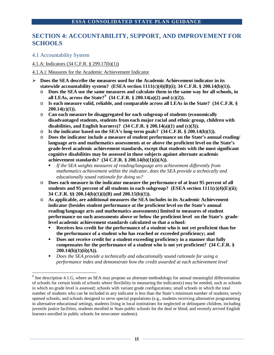# **SECTION 4: ACCOUNTABILITY, SUPPORT, AND IMPROVEMENT FOR SCHOOLS**

# 4.1 Accountability System

4.1.A: Indicators (34 C.F.R. § 299.17(b)(1))

# 4.1.A.i: Measures for the Academic Achievement Indicator

- **Does the SEA describe the measures used for the Academic Achievement indicator in its statewide accountability system? (ESEA section 1111(c)(4)(B)(i); 34 C.F.R. § 200.14(b)(1)).** 
	- o **Does the SEA use the same measures and calculate them in the same way for all schools, in all LEAs, across the State?[9](#page-15-0) (34 C.F.R. § 200.14(a)(2) and (c)(2)).**
	- o **Is each measure valid, reliable, and comparable across all LEAs in the State? (34 C.F.R. § 200.14(c)(1)).**
	- o **Can each measure be disaggregated for each subgroup of students (economically disadvantaged students, students from each major racial and ethnic group, children with disabilities, and English learners)? (34 C.F.R. § 200.14(a)(1) and (c)(3)).**
	- o **Is the indicator based on the SEA's long-term goals? (34 C.F.R. § 200.14(b)(1)).**
	- o **Does the indicator include a measure of student performance on the State's annual reading/ language arts and mathematics assessments at or above the proficient level on the State's grade-level academic achievement standards, except that students with the most significant cognitive disabilities may be assessed in those subjects against alternate academic achievement standards? (34 C.F.R. § 200.14(b)(1)(i)(A)).** 
		- *If the SEA weights measures of reading/language arts achievement differently from mathematics achievement within the indicator, does the SEA provide a technically and educationally sound rationale for doing so?*
	- o **Does each measure in the indicator measure the performance of at least 95 percent of all**  students and 95 percent of all students in each subgroup? (ESEA section 1111(c)(4)(E)(ii); **34 C.F.R. §§ 200.14(b)(1)(i)(B) and 200.15(b)(1)).**
	- o **As applicable, are additional measures the SEA includes in its Academic Achievement indicator (besides student performance at the proficient level on the State's annual reading/language arts and mathematics assessments) limited to measures of student performance on such assessments above or below the proficient level on the State's gradelevel academic achievement standards calculated so that a school:** 
		- **Receives less credit for the performance of a student who is not yet proficient than for the performance of a student who has reached or exceeded proficiency; and**
		- **Does not receive credit for a student exceeding proficiency in a manner that fully compensates for the performance of a student who is not yet proficient? (34 C.F.R. § 200.14(b)(1)(ii)(A)).**
		- *Does the SEA provide a technically and educationally sound rationale for using a performance index and demonstrate how the credit awarded at each achievement level*

<span id="page-15-0"></span><sup>&</sup>lt;sup>9</sup> See description 4.1.G, where an SEA may propose an alternate methodology for annual meaningful differentiation of schools for certain kinds of schools where flexibility in measuring the indicator(s) may be needed, such as schools in which no grade level is assessed; schools with variant grade configurations; small schools in which the total number of students who can be included in any indicator is less than the State's minimum number of students; newly opened schools; and schools designed to serve special populations (e.g., students receiving alternative programming in alternative educational settings, students living in local institutions for neglected or delinquent children, including juvenile justice facilities, students enrolled in State public schools for the deaf or blind; and recently arrived English learners enrolled in public schools for newcomer students).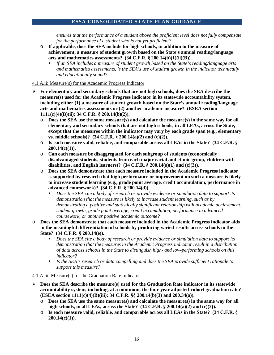*ensures that the performance of a student above the proficient level does not fully compensate for the performance of a student who is not yet proficient?* 

- o **If applicable, does the SEA include for high schools, in addition to the measure of achievement, a measure of student growth based on the State's annual reading/language**  arts and mathematics assessments?  $(34 \text{ C.F.R.} \S 200.14(b)(1)(ii)(B)).$ 
	- *If an SEA includes a measure of student growth based on the State's reading/language arts and mathematics assessments, is the SEA's use of student growth in the indicator technically and educationally sound?*

#### 4.1.A.ii: Measure(s) for the Academic Progress Indicator

- **For elementary and secondary schools that are not high schools, does the SEA describe the measure(s) used for the Academic Progress indicator in its statewide accountability system, including either (1) a measure of student growth based on the State's annual reading/language arts and mathematics assessments or (2) another academic measure? (ESEA section 1111(c)(4)(B)(ii); 34 C.F.R. § 200.14(b)(2)).** 
	- o **Does the SEA use the same measure(s) and calculate the measure(s) in the same way for all elementary and secondary schools that are not high schools, in all LEAs, across the State, except that the measures within the indicator may vary by each grade span (e.g., elementary vs. middle schools)? (34 C.F.R. § 200.14(a)(2) and (c)(2)).**
	- o **Is each measure valid, reliable, and comparable across all LEAs in the State? (34 C.F.R. § 200.14(c)(1)).**
	- o **Can each measure be disaggregated for each subgroup of students (economically disadvantaged students, students from each major racial and ethnic group, children with disabilities, and English learners)? (34 C.F.R. § 200.14(a)(1) and (c)(3)).**
	- o **Does the SEA demonstrate that each measure included in the Academic Progress indicator is supported by research that high performance or improvement on such a measure is likely to increase student learning (e.g., grade point average, credit accumulation, performance in advanced coursework)? (34 C.F.R. § 200.14(d)).**
		- *Does the SEA cite a body of research or provide evidence or simulation data to support its demonstration that the measure is likely to increase student learning, such as by demonstrating a positive and statistically significant relationship with academic achievement, student growth, grade point average, credit accumulation, performance in advanced coursework, or another positive academic outcome?*
- o **Does the SEA demonstrate that each measure included in the Academic Progress indicator aids in the meaningful differentiation of schools by producing varied results across schools in the State? (34 C.F.R. § 200.14(e)).** 
	- *Does the SEA cite a body of research or provide evidence or simulation data to support its demonstration that the measures in the Academic Progress indicator result in a distribution of data across schools in the State to distinguish high- and low-performing schools on this indicator?*
	- *Is the SEA's research or data compelling and does the SEA provide sufficient rationale to support this measure?*

#### 4.1.A.iii: Measure(s) for the Graduation Rate Indicator

- **Does the SEA describe the measure(s) used for the Graduation Rate indicator in its statewide accountability system, including, at a minimum, the four-year adjusted-cohort graduation rate? (ESEA section 1111(c)(4)(B)(iii); 34 C.F.R. §§ 200.14(b)(3) and 200.34(a)).** 
	- o **Does the SEA use the same measure(s) and calculate the measure(s) in the same way for all high schools, in all LEAs, across the State? (34 C.F.R. § 200.14(a)(2) and (c)(2)).**
	- o **Is each measure valid, reliable, and comparable across all LEAs in the State? (34 C.F.R. § 200.14(c)(1)).**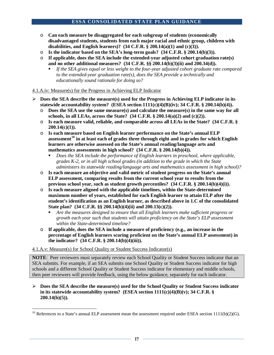- o **Can each measure be disaggregated for each subgroup of students (economically disadvantaged students, students from each major racial and ethnic group, children with disabilities, and English learners)? (34 C.F.R. § 200.14(a)(1) and (c)(3)).**
- o **Is the indicator based on the SEA's long-term goals? (34 C.F.R. § 200.14(b)(3)).**
- o **If applicable, does the SEA include the extended-year adjusted cohort graduation rate(s) and no other additional measures? (34 C.F.R. §§ 200.14(b)(3)(ii) and 200.34(d)).**
	- If the SEA gives equal or less weight to the four-year adjusted cohort graduate rate compared *to the extended-year graduation rate(s), does the SEA provide a technically and educationally sound rationale for doing so?*

## 4.1.A.iv: Measure(s) for the Progress in Achieving ELP Indicator

- **Does the SEA describe the measure(s) used for the Progress in Achieving ELP indicator in its statewide accountability system? (ESEA section 1111(c)(4)(B)(iv); 34 C.F.R. § 200.14(b)(4)).** 
	- o **Does the SEA use the same measure(s) and calculate the measure(s) in the same way for all schools, in all LEAs, across the State? (34 C.F.R. § 200.14(a)(2) and (c)(2)).**
	- o **Is each measure valid, reliable, and comparable across all LEAs in the State? (34 C.F.R. § 200.14(c)(1)).**
	- o **Is each measure based on English learner performance on the State's annual ELP assessment[10](#page-17-0) in at least each of grades three through eight and in grades for which English learners are otherwise assessed on the State's annual reading/language arts and mathematics assessments in high school? (34 C.F.R. § 200.14(b)(4)).**
		- *Does the SEA include the performance of English learners in preschool, where applicable, grades K-2, or in all high school grades (in addition to the grade in which the State administers its statewide reading/language arts and mathematics assessment in high school)?*
	- o **Is each measure an objective and valid metric of student progress on the State's annual ELP assessment, comparing results from the current school year to results from the previous school year, such as student growth percentiles? (34 C.F.R. § 200.14(b)(4)(i)).**
	- o **Is each measure aligned with the applicable timelines, within the State-determined maximum number of years, established for each English learner to attain ELP after the student's identification as an English learner, as described above in 1.C of the consolidated State plan? (34 C.F.R. §§ 200.14(b)(4)(ii) and 200.13(c)(2)).** 
		- *Are the measures designed to ensure that all English learners make sufficient progress or growth each year such that students will attain proficiency on the State's ELP assessment within the State-determined timeline?*
	- o **If applicable, does the SEA include a measure of proficiency (e.g., an increase in the percentage of English learners scoring proficient on the State's annual ELP assessment) in the indicator? (34 C.F.R. § 200.14(b)(4)(iii)).**

# 4.1.A.v: Measure(s) for School Quality or Student Success Indicator(s)

**NOTE**: Peer reviewers must separately review each School Quality or Student Success indicator that an SEA submits. For example, if an SEA submits one School Quality or Student Success indicator for high schools and a different School Quality or Student Success indicator for elementary and middle schools, then peer reviewers will provide feedback, using the below guidance, separately for each indicator.

 **Does the SEA describe the measure(s) used for the School Quality or Student Success indicator in its statewide accountability system? (ESEA section 1111(c)(4)(B)(v); 34 C.F.R. § 200.14(b)(5)).**

<span id="page-17-0"></span> $10$  References to a State's annual ELP assessment mean the assessment required under ESEA section 1111(b)(2)(G).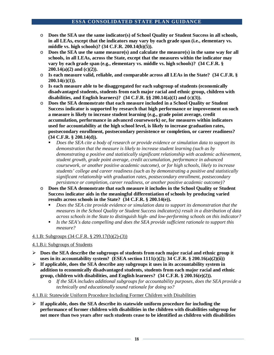- o **Does the SEA use the same indicator(s) of School Quality or Student Success in all schools, in all LEAs, except that the indicators may vary by each grade span (i.e., elementary vs. middle vs. high schools)? (34 C.F.R. 200.14(b)(5)).**
- o **Does the SEA use the same measure(s) and calculate the measure(s) in the same way for all schools, in all LEAs, across the State, except that the measures within the indicator may vary by each grade span (e.g***.***, elementary vs. middle vs. high schools)? (34 C.F.R. § 200.14(a)(2) and (c)(2)).**
- o **Is each measure valid, reliable, and comparable across all LEAs in the State? (34 C.F.R. § 200.14(c)(1)).**
- o **Is each measure able to be disaggregated for each subgroup of students (economically disadvantaged students, students from each major racial and ethnic group, children with disabilities, and English learners)? (34 C.F.R. §§ 200.14(a)(1) and (c)(3)).**
- o **Does the SEA demonstrate that each measure included in a School Quality or Student Success indicator is supported by research that high performance or improvement on such a measure is likely to increase student learning (e.g., grade point average, credit accumulation, performance in advanced coursework) or, for measures within indicators used for accountability at the high school level, is likely to increase graduation rates, postsecondary enrollment, postsecondary persistence or completion, or career readiness? (34 C.F.R. § 200.14(d)).**
	- *Does the SEA cite a body of research or provide evidence or simulation data to support its demonstration that the measure is likely to increase student learning (such as by demonstrating a positive and statistically significant relationship with academic achievement, student growth, grade point average, credit accumulation, performance in advanced coursework, or another positive academic outcome), or for high schools, likely to increase students' college and career readiness (such as by demonstrating a positive and statistically significant relationship with graduation rates, postsecondary enrollment, postsecondary persistence or completion, career readiness, or another positive academic outcome)?*
- o **Does the SEA demonstrate that each measure it includes in the School Quality or Student Success indicator aids in the meaningful differentiation of schools by producing varied results across schools in the State? (34 C.F.R. § 200.14(e)).** 
	- *Does the SEA cite provide evidence or simulation data to support its demonstration that the measures in the School Quality or Student Success indicator(s) result in a distribution of data across schools in the State to distinguish high- and low-performing schools on this indicator?*
	- *Is the SEA's data compelling and does the SEA provide sufficient rationale to support this measure?*

# 4.1.B: Subgroups (34 C.F.R. § 299.17(b)(2)-(3))

# 4.1.B.i: Subgroups of Students

- **Does the SEA describe the subgroups of students from each major racial and ethnic group it uses in its accountability system? (ESEA section 1111(c)(2); 34 C.F.R. § 200.16(a)(2)(ii))**
- **If applicable, does the SEA describe any subgroups it uses in its accountability system in addition to economically disadvantaged students, students from each major racial and ethnic group, children with disabilities, and English learners? (34 C.F.R. § 200.16(e)(2)).**
	- o *If the SEA includes additional subgroups for accountability purposes, does the SEA provide a technically and educationally sound rationale for doing so?*
- 4.1.B.ii: Statewide Uniform Procedure Including Former Children with Disabilities
- **If applicable, does the SEA describe its statewide uniform procedure for including the performance of former children with disabilities in the children with disabilities subgroup for not more than two years after such students cease to be identified as children with disabilities**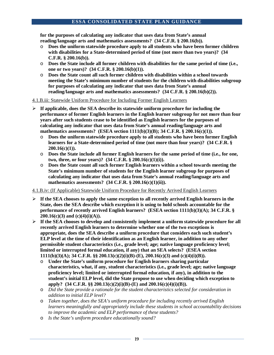**for the purposes of calculating any indicator that uses data from State's annual reading/language arts and mathematics assessments? (34 C.F.R. § 200.16(b)).**

- o **Does the uniform statewide procedure apply to all students who have been former children with disabilities for a State-determined period of time (not more than two years)? (34 C.F.R. § 200.16(b)).**
- o **Does the State include all former children with disabilities for the same period of time (i.e., one or two years)? (34 C.F.R. § 200.16(b)(1)).**
- o **Does the State count all such former children with disabilities within a school towards meeting the State's minimum number of students for the children with disabilities subgroup for purposes of calculating any indicator that uses data from State's annual reading/language arts and mathematics assessments? (34 C.F.R. § 200.16(b)(2)).**

## 4.1.B.iii: Statewide Uniform Procedure for Including Former English Learners

- **If applicable, does the SEA describe its statewide uniform procedure for including the performance of former English learners in the English learner subgroup for not more than four years after such students cease to be identified as English learners for the purposes of calculating any indicator that uses data from State's annual reading/language arts and mathematics assessments? (ESEA section 1111(b)(3)(B); 34 C.F.R. § 200.16(c)(1)).**
	- o **Does the uniform statewide procedure apply to all students who have been former English learners for a State-determined period of time (not more than four years)? (34 C.F.R. § 200.16(c)(1)).**
	- o **Does the State include all former English learners for the same period of time (i.e., for one, two, three, or four years)? (34 C.F.R. § 200.16(c)(1)(i)).**
	- o **Does the State count all such former English learners within a school towards meeting the State's minimum number of students for the English learner subgroup for purposes of calculating any indicator that uses data from State's annual reading/language arts and mathematics assessments? (34 C.F.R. § 200.16(c)(1)(ii)).**

4.1.B.iv: (If Applicable) Statewide Uniform Procedure for Recently Arrived English Learners

- $\triangleright$  If the SEA chooses to apply the same exception to all recently arrived English learners in the **State, does the SEA describe which exception it is using to hold schools accountable for the performance of recently arrived English learners? (ESEA section 1111(b)(3)(A); 34 C.F.R. § 200.16(c)(3) and (c)(4)(i)(A)).**
- **If the SEA chooses to develop and consistently implement a uniform statewide procedure for all recently arrived English learners to determine whether one of the two exceptions is appropriate, does the SEA describe a uniform procedure that considers each such student's ELP level at the time of their identification as an English learner, in addition to any other permissible student characteristics (i.e., grade level; age; native language proficiency level; limited or interrupted formal education, if any) that an SEA selects? (ESEA section 1111(b)(3)(A); 34 C.F.R. §§ 200.13(c)(2)(i)(B)-(E), 200.16(c)(3) and (c)(4)(i)(B)).** 
	- o **Under the State's uniform procedure for English learners sharing particular characteristics, what, if any, student characteristics (i.e., grade level; age; native language proficiency level; limited or interrupted formal education, if any), in addition to the student's initial ELP level, did the State propose to use when deciding which exception to apply? (34 C.F.R. §§ 200.13(c)(2)(i)(B)-(E) and 200.16(c)(4)(i)(B)).**
	- o *Did the State provide a rationale for the student characteristics selected for consideration in addition to initial ELP level?*
	- o *Taken together, does the SEA's uniform procedure for including recently arrived English learners meaningfully and appropriately include these students in school accountability decisions to improve the academic and ELP performance of these students?*
	- o *Is the State's uniform procedure educationally sound?*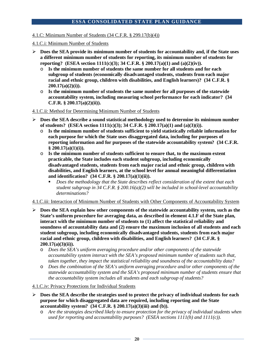4.1.C: Minimum Number of Students (34 C.F.R. § 299.17(b)(4))

4.1.C.i: Minimum Number of Students

- **Does the SEA provide its minimum number of students for accountability and, if the State uses a different minimum number of students for reporting, its minimum number of students for reporting? (ESEA section 1111(c)(3); 34 C.F.R. § 200.17(a)(1) and (a)(2)(iv)).** 
	- o **Is the minimum number of students the same number for all students and for each subgroup of students (economically disadvantaged students, students from each major racial and ethnic group, children with disabilities, and English learners)? (34 C.F.R. § 200.17(a)(2)(i)).**
	- o **Is the minimum number of students the same number for all purposes of the statewide accountability system, including measuring school performance for each indicator? (34 C.F.R. § 200.17(a)(2)(ii)).**

#### 4.1.C.ii: Method for Determining Minimum Number of Students

- **Does the SEA describe a sound statistical methodology used to determine its minimum number of students? (ESEA section 1111(c)(3); 34 C.F.R. § 200.17(a)(1) and (a)(3)(i)).** 
	- o **Is the minimum number of students sufficient to yield statistically reliable information for each purpose for which the State uses disaggregated data, including for purposes of reporting information and for purposes of the statewide accountability system? (34 C.F.R. § 200.17(a)(1)(i)).**
	- o **Is the minimum number of students sufficient to ensure that, to the maximum extent practicable, the State includes each student subgroup, including economically disadvantaged students, students from each major racial and ethnic group, children with disabilities, and English learners, at the school level for annual meaningful differentiation and identification? (34 C.F.R. § 200.17(a)(1)(ii)).** 
		- *Does the methodology that the State describes reflect consideration of the extent that each student subgroup in 34 C.F.R. § 200.16(a)(2) will be included in school-level accountability determinations?*

#### 4.1.C.iii: Interaction of Minimum Number of Students with Other Components of Accountability System

- **Does the SEA explain how other components of the statewide accountability system, such as the State's uniform procedure for averaging data, as described in element 4.1.F of the State plan, interact with the minimum number of students to (1) affect the statistical reliability and soundness of accountability data and (2) ensure the maximum inclusion of all students and each student subgroup, including economically disadvantaged students, students from each major racial and ethnic group, children with disabilities, and English learners? (34 C.F.R. § 200.17(a)(3)(ii)).** 
	- o *Does the SEA's uniform averaging procedure and/or other components of the statewide accountability system interact with the SEA's proposed minimum number of students such that, taken together, they impact the statistical reliability and soundness of the accountability data?*
	- o *Does the combination of the SEA's uniform averaging procedure and/or other components of the statewide accountability system and the SEA's proposed minimum number of students ensure that the accountability system includes all students and each subgroup of students?*

4.1.C.iv: Privacy Protections for Individual Students

- **Does the SEA describe the strategies used to protect the privacy of individual students for each purpose for which disaggregated data are required, including reporting and the State accountability system? (34 C.F.R. § 200.17(a)(3)(iii) and (b)).** 
	- o *Are the strategies described likely to ensure protection for the privacy of individual students when used for reporting and accountability purposes? (ESEA sections 1111(h) and 1111(c)).*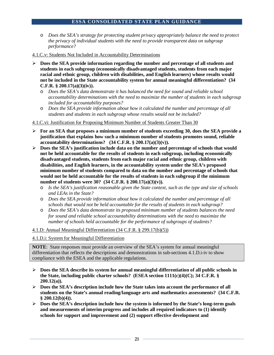o *Does the SEA's strategy for protecting student privacy appropriately balance the need to protect the privacy of individual students with the need to provide transparent data on subgroup performance?*

#### 4.1.C.v: Students Not Included in Accountability Determinations

- **Does the SEA provide information regarding the number and percentage of all students and students in each subgroup (economically disadvantaged students, students from each major racial and ethnic group, children with disabilities, and English learners) whose results would not be included in the State accountability system for annual meaningful differentiation? (34 C.F.R. § 200.17(a)(3)(iv)).** 
	- o *Does the SEA's data demonstrate it has balanced the need for sound and reliable school accountability determinations with the need to maximize the number of students in each subgroup included for accountability purposes?*
	- o *Does the SEA provide information about how it calculated the number and percentage of all students and students in each subgroup whose results would not be included?*

## 4.1.C.vi: Justification for Proposing Minimum Number of Students Greater Than 30

- **For an SEA that proposes a minimum number of students exceeding 30, does the SEA provide a justification that explains how such a minimum number of students promotes sound, reliable accountability determinations? (34 C.F.R. § 200.17(a)(3)(v)).**
- **Does the SEA's justification include data on the number and percentage of schools that would not be held accountable for the results of students in each subgroup, including economically disadvantaged students, students from each major racial and ethnic group, children with disabilities, and English learners, in the accountability system under the SEA's proposed minimum number of students compared to data on the number and percentage of schools that would not be held accountable for the results of students in each subgroup if the minimum number of students were 30? (34 C.F.R. § 200.17(a)(3)(v)).** 
	- o *Is the SEA's justification reasonable given the State context, such as the type and size of schools and LEAs in the State?*
	- o *Does the SEA provide information about how it calculated the number and percentage of all schools that would not be held accountable for the results of students in each subgroup?*
	- o *Does the SEA's data demonstrate its proposed minimum number of students balances the need for sound and reliable school accountability determinations with the need to maximize the number of schools held accountable for the performance of subgroups of students?*

#### 4.1.D: Annual Meaningful Differentiation (34 C.F.R. § 299.17(b)(5))

4.1.D.i: System for Meaningful Differentiation

**NOTE**: State responses must provide an overview of the SEA's system for annual meaningful differentiation that reflects the descriptions and demonstrations in sub-sections 4.1.D.i-iv to show compliance with the ESEA and the applicable regulations.

- **Does the SEA describe its system for annual meaningful differentiation of all public schools in the State, including public charter schools? (ESEA section 1111(c)(4)(C); 34 C.F.R. § 200.12(a)).**
- **Does the SEA's description include how the State takes into account the performance of all students on the State's annual reading/language arts and mathematics assessments? (34 C.F.R. § 200.12(b)(4)).**
- **Does the SEA's description include how the system is informed by the State's long-term goals and measurements of interim progress and includes all required indicators to (1) identify schools for support and improvement and (2) support effective development and**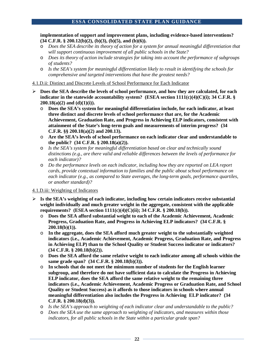**implementation of support and improvement plans, including evidence-based interventions? (34 C.F.R. § 200.12(b)(2), (b)(3), (b)(5), and (b)(6)).**

- o *Does the SEA describe its theory of action for a system for annual meaningful differentiation that will support continuous improvement of all public schools in the State?*
- o *Does its theory of action include strategies for taking into account the performance of subgroups of students?*
- o *Is the SEA's system for meaningful differentiation likely to result in identifying the schools for comprehensive and targeted interventions that have the greatest needs?*

4.1.D.ii: Distinct and Discrete Levels of School Performance for Each Indicator

- **Does the SEA describe the levels of school performance, and how they are calculated, for each indicator in the statewide accountability system? (ESEA section 1111(c)(4)(C)(i); 34 C.F.R. § 200.18(a)(2) and (d)(1)(i)).**
	- o **Does the SEA's system for meaningful differentiation include, for each indicator, at least three distinct and discrete levels of school performance that are, for the Academic Achievement, Graduation Rate, and Progress in Achieving ELP indicators, consistent with attainment of the State's long-term goals and measurements of interim progress? (34 C.F.R. §§ 200.18(a)(2) and 200.13).**
	- o **Are the SEA's levels of school performance on each indicator clear and understandable to the public? (34 C.F.R. § 200.18(a)(2)).**
	- o *Is the SEA's system for meaningful differentiation based on clear and technically sound distinctions (e.g., are there valid and reliable differences between the levels of performance for each indicator)?*
	- o *Do the performance levels on each indicator, including how they are reported on LEA report cards, provide contextual information to families and the public about school performance on each indicator (e.g., as compared to State averages, the long-term goals, performance quartiles, or another standard)?*

4.1.D.iii: Weighting of Indicators

- $\triangleright$  **Is the SEA's weighting of each indicator, including how certain indicators receive substantial weight individually and much greater weight in the aggregate, consistent with the applicable requirements? (ESEA section 1111(c)(4)(C)(ii); 34 C.F.R. § 200.18(b)).**
	- o **Does the SEA afford substantial weight to each of the Academic Achievement, Academic Progress, Graduation Rate, and Progress in Achieving ELP indicators? (34 C.F.R. § 200.18(b)(1)).**
	- o **In the aggregate, does the SEA afford much greater weight to the substantially weighted indicators (i.e., Academic Achievement, Academic Progress, Graduation Rate, and Progress in Achieving ELP) than to the School Quality or Student Success indicator or indicators? (34 C.F.R. § 200.18(b)(2)).**
	- o **Does the SEA afford the same relative weight to each indicator among all schools within the same grade span? (34 C.F.R. § 200.18(b)(3)).**
	- o **In schools that do not meet the minimum number of students for the English learner subgroup, and therefore do not have sufficient data to calculate the Progress in Achieving ELP indicator, does the SEA afford the same relative weight to the remaining three indicators (i.e., Academic Achievement, Academic Progress or Graduation Rate, and School Quality or Student Success) as it affords to those indicators in schools where annual meaningful differentiation also includes the Progress in Achieving ELP indicator? (34 C.F.R. § 200.18(d)(3)).**
	- o *Is the SEA's approach to weighting of each indicator clear and understandable to the public?*
	- o *Does the SEA use the same approach to weighting of indicators, and measures within those indicators, for all public schools in the State within a particular grade span?*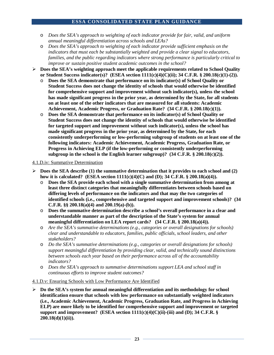- o *Does the SEA's approach to weighting of each indicator provide for fair, valid, and uniform annual meaningful differentiation across schools and LEAs?*
- o *Does the SEA's approach to weighting of each indicator provide sufficient emphasis on the indicators that must each be substantially weighted and provide a clear signal to educators, families, and the public regarding indicators where strong performance is particularly critical to improve or sustain positive student academic outcomes in the school?*
- **Does the SEA's weighting approach meet the applicable requirements related to School Quality or Student Success indicator(s)? (ESEA section 1111(c)(4)(C)(ii); 34 C.F.R. § 200.18(c)(1)-(2)).**
	- o **Does the SEA demonstrate that performance on its indicator(s) of School Quality or Student Success does not change the identity of schools that would otherwise be identified for comprehensive support and improvement without such indicator(s), unless the school has made significant progress in the prior year, as determined by the State, for all students on at least one of the other indicators that are measured for all students: Academic Achievement, Academic Progress, or Graduation Rate? (34 C.F.R. § 200.18(c)(1)).**
	- o **Does the SEA demonstrate that performance on its indicator(s) of School Quality or Student Success does not change the identity of schools that would otherwise be identified for targeted support and improvement without such indicator(s), unless the school has made significant progress in the prior year, as determined by the State, for each consistently underperforming or low-performing subgroup of students on at least one of the following indicators: Academic Achievement, Academic Progress, Graduation Rate, or Progress in Achieving ELP (if the low-performing or consistently underperforming subgroup in the school is the English learner subgroup)? (34 C.F.R. § 200.18(c)(2)).**

## 4.1.D.iv: Summative Determination

- $\triangleright$  Does the SEA describe (1) the summative determination that it provides to each school and (2) **how it is calculated? (ESEA section 1111(c)(4)(C) and (D); 34 C.F.R. § 200.18(a)(4)).**
	- o **Does the SEA provide each school with a single summative determination from among at least three distinct categories that meaningfully differentiates between schools based on differing levels of performance on the indicators and that may the two categories of identified schools (i.e., comprehensive and targeted support and improvement schools)? (34 C.F.R. §§ 200.18(a)(4) and 200.19(a)-(b)).**
	- o **Does the summative determination describe a school's overall performance in a clear and understandable manner as part of the description of the State's system for annual meaningful differentiation on LEA report cards? (34 C.F.R. § 200.18(a)(4)).**
	- o *Are the SEA's summative determinations (e.g., categories or overall designations for schools) clear and understandable to educators, families, public officials, school leaders, and other stakeholders?*
	- o *Do the SEA's summative determinations (e.g., categories or overall designations for schools) support meaningful differentiation by providing clear, valid, and technically sound distinctions between schools each year based on their performance across all of the accountability indicators?*
	- o *Does the SEA's approach to summative determinations support LEA and school staff in continuous efforts to improve student outcomes?*

#### 4.1.D.v: Ensuring Schools with Low Performance Are Identified

 **Do the SEA's system for annual meaningful differentiation and its methodology for school identification ensure that schools with low performance on substantially weighted indicators (i.e., Academic Achievement, Academic Progress, Graduation Rate, and Progress in Achieving ELP) are more likely to be identified for comprehensive support and improvement or targeted support and improvement? (ESEA section 1111(c)(4)(C)(ii)-(iii) and (D); 34 C.F.R. § 200.18(d)(1)(ii)).**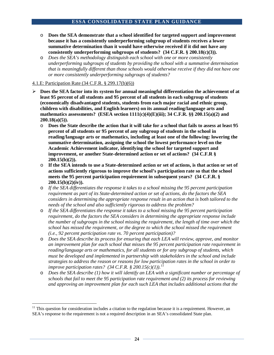- o **Does the SEA demonstrate that a school identified for targeted support and improvement because it has a consistently underperforming subgroup of students receives a lower summative determination than it would have otherwise received if it did not have any consistently underperforming subgroups of students? (34 C.F.R. § 200.18(c)(3)).**
- o *Does the SEA's methodology distinguish each school with one or more consistently underperforming subgroups of students by providing the school with a summative determination that is meaningfully different than those schools would otherwise receive if they did not have one or more consistently underperforming subgroups of students?*

#### 4.1.E: Participation Rate (34 C.F.R. § 299.17(b)(6))

- **Does the SEA factor into its system for annual meaningful differentiation the achievement of at least 95 percent of all students and 95 percent of all students in each subgroup of students (economically disadvantaged students, students from each major racial and ethnic group, children with disabilities, and English learners) on its annual reading/language arts and mathematics assessments? (ESEA section 1111(c)(4)(E)(iii); 34 C.F.R. §§ 200.15(a)(2) and 200.18(a)(5)).**
	- o **Does the State describe the action that it will take for a school that fails to assess at least 95 percent of all students or 95 percent of any subgroup of students in the school in reading/language arts or mathematics, including at least one of the following: lowering the summative determination, assigning the school the lowest performance level on the Academic Achievement indicator, identifying the school for targeted support and improvement, or another State-determined action or set of actions? (34 C.F.R § 200.15(b)(2)).**
	- o **If the SEA intends to use a State-determined action or set of actions, is that action or set of actions sufficiently rigorous to improve the school's participation rate so that the school meets the 95 percent participation requirement in subsequent years? (34 C.F.R. § 200.15(b)(2)(iv)).**
	- o *If the SEA differentiates the response it takes to a school missing the 95 percent participation requirement as part of its State-determined action or set of actions, do the factors the SEA considers in determining the appropriate response result in an action that is both tailored to the needs of the school and also sufficiently rigorous to address the problem?*
	- o *If the SEA differentiates the response it takes to a school missing the 95 percent participation requirement, do the factors the SEA considers in determining the appropriate response include the number of subgroups in the school missing the requirement, the length of time over which the school has missed the requirement, or the degree to which the school missed the requirement (i.e., 92 percent participation rate vs. 70 percent participation)?*
	- o *Does the SEA describe its process for ensuring that each LEA will review, approve, and monitor an improvement plan for each school that misses the 95 percent participation rate requirement in reading/language arts or mathematics, for all students or for any subgroup of students, which must be developed and implemented in partnership with stakeholders in the school and include strategies to address the reason or reasons for low participation rates in the school in order to improve participation rates? (34 C.F.R. § 200.15(c)(1)).[11](#page-24-0)*
	- o *Does the SEA describe (1) how it will identify an LEA with a significant number or percentage of schools that fail to meet the 95 participation rate requirement and (2) its process for reviewing and approving an improvement plan for each such LEA that includes additional actions that the*

<span id="page-24-0"></span> $11$  This question for consideration includes a citation to the regulation because it is a requirement. However, an SEA's response to the requirement is not a required description in an SEA's consolidated State plan.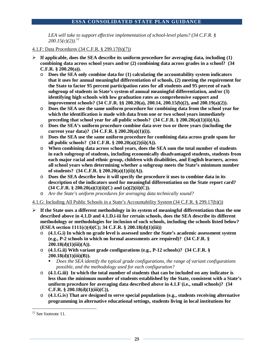*LEA will take to support effective implementation of school-level plans? (34 C.F.R. § 200.15(c)(2)).[12](#page-25-0)*

- 4.1.F: Data Procedures (34 C.F.R. § 299.17(b)(7))
- $\triangleright$  If applicable, does the SEA describe its uniform procedure for averaging data, including (1) **combining data across school years and/or (2) combining data across grades in a school? (34 C.F.R. § 200.20(a)).** 
	- o **Does the SEA only combine data for (1) calculating the accountability system indicators that it uses for annual meaningful differentiation of schools, (2) meeting the requirement for the State to factor 95 percent participation rates for all students and 95 percent of each subgroup of students in State's system of annual meaningful differentiation, and/or (3) identifying high schools with low graduation rates as comprehensive support and improvement schools? (34 C.F.R. §§ 200.20(a), 200.14, 200.15(b)(2), and 200.19(a)(2)).**
	- o **Does the SEA use the same uniform procedure for combining data from the school year for which the identification is made with data from one or two school years immediately preceding that school year for all public schools?**  $(34 \text{ C.F.R.} \text{ } \text{\$} 200.20(a)(1)(ii)(A))$ .
	- o **Does the SEA's uniform procedure combine data over two or three years (including the current year data)? (34 C.F.R. § 200.20(a)(1)(i)).**
	- o **Does the SEA use the same uniform procedure for combining data across grade spans for all public schools? (34 C.F.R. § 200.20(a)(2)(ii)(A)).**
	- o **When combining data across school years, does the SEA sum the total number of students in each subgroup of students, including economically disadvantaged students, students from each major racial and ethnic group, children with disabilities, and English learners, across all school years when determining whether a subgroup meets the State's minimum number of students? (34 C.F.R. § 200.20(a)(1)(ii)(A)).**
	- o **Does the SEA describe how it will specify the procedure it uses to combine data in its description of the indicators used for meaningful differentiation on the State report card? (34 C.F.R. § 200.20(a)(1)(ii)(C) and (a)(2)(ii)(C)).**
	- o *Are the State's uniform procedures for averaging data technically sound?*

4.1.G: Including All Public Schools in a State's Accountability System (34 C.F.R. § 299.17(b)())

- **If the State uses a different methodology in its system of meaningful differentiation than the one described above in 4.1.D and 4.1.D.i-iii for certain schools, does the SEA describe its different methodology or methodologies for inclusion of such schools, including the schools listed below? (ESEA section 1111(c)(4)(C); 34 C.F.R. § 200.18(d)(1)(iii))** 
	- o **(4.1.G.i) In which no grade level is assessed under the State's academic assessment system (e.g., P-2 schools in which no formal assessments are required)? (34 C.F.R. § 200.18(d)(1)(iii)(A)).**
	- o **(4.1.G.ii) With variant grade configurations (e.g., P-12 schools)? (34 C.F.R. § 200.18(d)(1)(iii)(B)).**
		- *Does the SEA identify the typical grade configurations, the range of variant configurations possible, and the methodology used for each configuration?*
	- o **(4.1.G.iii) In which the total number of students that can be included on any indicator is less than the minimum number of students established by the State, consistent with a State's uniform procedure for averaging data described above in 4.1.F (i.e., small schools)? (34 C.F.R. § 200.18(d)(1)(iii)(C)).**
	- o **(4.1.G.iv) That are designed to serve special populations (e.g., students receiving alternative programming in alternative educational settings, students living in local institutions for**

<span id="page-25-0"></span><sup>&</sup>lt;sup>12</sup> See footnote 11.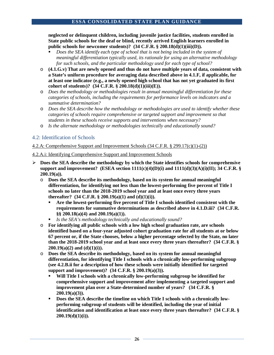**neglected or delinquent children, including juvenile justice facilities, students enrolled in State public schools for the deaf or blind, recently arrived English learners enrolled in public schools for newcomer students)? (34 C.F.R. § 200.18(d)(1)(iii)(D)).**

- *Does the SEA identify each type of school that is not being included in the system of meaningful differentiation typically used, its rationale for using an alternative methodology for such schools, and the particular methodology used for each type of school?*
- o **(4.1.G.v) That are newly opened and thus do not have multiple years of data, consistent with a State's uniform procedure for averaging data described above in 4.1.F, if applicable, for at least one indicator (e.g., a newly opened high school that has not yet graduated its first cohort of students)? (34 C.F.R. § 200.18(d)(1)(iii)(E)).**
- o *Does the methodology or methodologies result in annual meaningful differentiation for these categories of schools, including the requirements for performance levels on indicators and a summative determination?*
- o *Does the SEA describe how the methodology or methodologies are used to identify whether these categories of schools require comprehensive or targeted support and improvement so that students in these schools receive supports and interventions when necessary?*
- o *Is the alternate methodology or methodologies technically and educationally sound?*

# 4.2: Identification of Schools

## 4.2.A: Comprehensive Support and Improvement Schools (34 C.F.R. § 299.17(c)(1)-(2))

- 4.2.A.i: Identifying Comprehensive Support and Improvement Schools
- **Does the SEA describe the methodology by which the State identifies schools for comprehensive**  support and improvement? (ESEA section  $1111(c)(4)(D)(i)$  and  $1111(d)(3)(A)(i)(II);$ <sup>34</sup> C.F.R. § **200.19(a)).**
	- o **Does the SEA describe its methodology, based on its system for annual meaningful differentiation, for identifying not less than the lowest-performing five percent of Title I schools no later than the 2018-2019 school year and at least once every three years thereafter? (34 C.F.R. § 200.19(a)(1) and (d)(1)(i)).**
		- **Are the lowest-performing five percent of Title I schools identified consistent with the requirements for summative determinations as described above in 4.1.D.iii? (34 C.F.R. §§ 200.18(a)(4) and 200.19(a)(1)).**
		- *Is the SEA's methodology technically and educationally sound?*
	- o **For identifying all public schools with a low high school graduation rate, are schools identified based on a four-year adjusted cohort graduation rate for all students at or below 67 percent or, if the State chooses, below a higher percentage selected by the State, no later than the 2018-2019 school year and at least once every three years thereafter? (34 C.F.R. § 200.19(a)(2) and (d)(1)(i)).**
	- o **Does the SEA describe its methodology, based on its system for annual meaningful differentiation, for identifying Title I schools with a chronically low-performing subgroup (see 4.2.B.ii for a description of how these schools were initially identified for targeted support and improvement)? (34 C.F.R. § 200.19(a)(3)).** 
		- **Will Title I schools with a chronically low-performing subgroup be identified for comprehensive support and improvement after implementing a targeted support and improvement plan over a State-determined number of years? (34 C.F.R. § 200.19(a)(3)).**
		- **Does the SEA describe the timeline on which Title I schools with a chronically lowperforming subgroup of students will be identified, including the year of initial identification and identification at least once every three years thereafter? (34 C.F.R. § 200.19(d)(1)(i)).**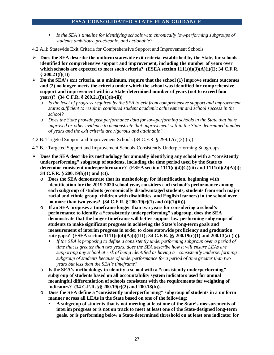- *Is the SEA's timeline for identifying schools with chronically low-performing subgroups of students ambitious, practicable, and actionable?*
- 4.2.A.ii: Statewide Exit Criteria for Comprehensive Support and Improvement Schools
- **Does the SEA describe the uniform statewide exit criteria, established by the State, for schools identified for comprehensive support and improvement, including the number of years over**  which schools are expected to meet such criteria? (ESEA section 1111(d)(3)(A)(i)(I); 34 C.F.R. **§ 200.21(f)(1))**
- **Do the SEA's exit criteria, at a minimum, require that the school (1) improve student outcomes and (2) no longer meets the criteria under which the school was identified for comprehensive support and improvement within a State-determined number of years (not to exceed four years)? (34 C.F.R. § 200.21(f)(1)(i)-(ii))**
	- o *Is the level of progress required by the SEA to exit from comprehensive support and improvement status sufficient to result in continued student academic achievement and school success in the school?*
	- o *Does the State provide past performance data for low-performing schools in the State that have improved or other evidence to demonstrate that improvement within the State-determined number of years and the exit criteria are rigorous and attainable?*

4.2.B: Targeted Support and Improvement Schools (34 C.F.R. § 299.17(c)(3)-(5))

4.2.B.i: Targeted Support and Improvement Schools-Consistently Underperforming Subgroups

- **Does the SEA describe its methodology for annually identifying any school with a "consistently underperforming" subgroup of students, including the time period used by the State to determine consistent underperformance? (ESEA section 1111(c)(4)(C)(iii) and 1111(d)(2)(A)(i); 34 C.F.R. § 200.19(b)(1) and (c)).** 
	- o **Does the SEA demonstrate that its methodology for identification, beginning with identification for the 2019-2020 school year, considers each school's performance among each subgroup of students (economically disadvantaged students, students from each major racial and ethnic group, children with disabilities, and English learners) in the school over no more than two years? (34 C.F.R. § 200.19(c)(1) and (d)(1)(ii))).**
	- o **If an SEA proposes a timeframe longer than two years for considering a school's performance to identify a "consistently underperforming" subgroup, does the SEA demonstrate that the longer timeframe will better support low-performing subgroups of students to make significant progress in achieving the State's long-term goals and measurement of interim progress in order to close statewide proficiency and graduation rate gaps? (ESEA section 1111(c)(4)(A)(i)(III); 34 C.F.R. §§ 200.19(c)(1) and 200.13(a)-(b)).**
		- If the SEA is proposing to define a consistently underperforming subgroup over a period of *time that is greater than two years, does the SEA describe how it will ensure LEAs are supporting any school at risk of being identified as having a "consistently underperforming" subgroup of students because of underperformance for a period of time greater than two years but less than the SEA's timeframe?*
	- o **Is the SEA's methodology to identify a school with a "consistently underperforming" subgroup of students based on all accountability system indicators used for annual meaningful differentiation of schools consistent with the requirements for weighting of indicators? (34 C.F.R. §§ 200.19(c)(2) and 200.18(b)).**
	- o **Does the SEA define a "consistently underperforming" subgroup of students in a uniform manner across all LEAs in the State based on one of the following:**
		- **A subgroup of students that is not meeting at least one of the State's measurements of interim progress or is not on track to meet at least one of the State-designed long-term goals, or is performing below a State-determined threshold on at least one indicator for**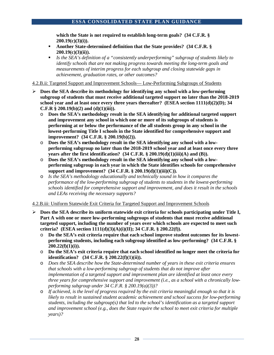**which the State is not required to establish long-term goals? (34 C.F.R. § 200.19(c)(3)(i)).**

- **Another State-determined definition that the State provides? (34 C.F.R. § 200.19(c)(3)(ii)).**
- *Is the SEA's definition of a "consistently underperforming" subgroup of students likely to identify schools that are not making progress towards meeting the long-term goals and measurements of interim progress for each subgroup and closing statewide gaps in achievement, graduation rates, or other outcomes?*

4.2.B.ii: Targeted Support and Improvement Schools— Low-Performing Subgroups of Students

- **Does the SEA describe its methodology for identifying any school with a low-performing subgroup of students that must receive additional targeted support no later than the 2018-2019 school year and at least once every three years thereafter? (ESEA section 1111(d)(2)(D); 34 C.F.R** § 200.19(b)(2) and (d)(1)(iii)).
	- o **Does the SEA's methodology result in the SEA identifying for additional targeted support and improvement any school in which one or more of its subgroups of students is performing at or below the performance of the all students group in any school in the lowest-performing Title I schools in the State identified for comprehensive support and improvement? (34 C.F.R. § 200.19(b)(2)).**
	- o **Does the SEA's methodology result in the SEA identifying any school with a lowperforming subgroup no later than the 2018-2019 school year and at least once every three years after the first identification? (34 C.F.R. § 200.19(d)(1)(iii)(A) and (B)).**
	- o **Does the SEA's methodology result in the SEA identifying any school with a lowperforming subgroup in each year in which the State identifies schools for comprehensive support and improvement? (34 C.F.R. § 200.19(d)(1)(iii)(C)).**
	- o *Is the SEA's methodology educationally and technically sound in how it compares the performance of the low-performing subgroup of students to students in the lowest-performing schools identified for comprehensive support and improvement, and does it result in the schools and LEAs receiving the necessary supports?*

#### 4.2.B.iii: Uniform Statewide Exit Criteria for Targeted Support and Improvement Schools

- **Does the SEA describe its uniform statewide exit criteria for schools participating under Title I, Part A with one or more low-performing subgroups of students that must receive additional targeted support, including the number of years over which schools are expected to meet such criteria? (ESEA section 1111(d)(3)(A)(i)(II); 34 C.F.R. § 200.22(f)).** 
	- o **Do the SEA's exit criteria require that each school improve student outcomes for its lowestperforming students, including each subgroup identified as low-performing? (34 C.F.R. § 200.22(f)(1)(i)).**
	- o **Do the SEA's exit criteria require that each school identified no longer meet the criteria for identification? (34 C.F.R. § 200.22(f)(1)(ii)).**
	- o *Does the SEA describe how the State-determined number of years in these exit criteria ensures that schools with a low-performing subgroup of students that do not improve after implementation of a targeted support and improvement plan are identified at least once every three years for comprehensive support and improvement (i.e., as a school with a chronically lowperforming subgroup under 34 C.F.R. § 200.19(a)(3))?*
	- o *If achieved, is the level of progress required by the exit criteria meaningful enough so that it is likely to result in sustained student academic achievement and school success for low-performing students, including the subgroup(s) that led to the school's identification as a targeted support and improvement school (e.g., does the State require the school to meet exit criteria for multiple years)?*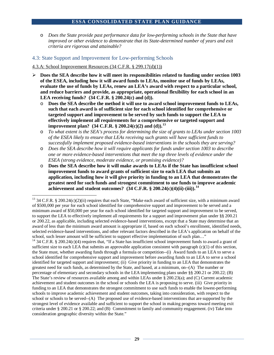o *Does the State provide past performance data for low-performing schools in the State that have improved or other evidence to demonstrate that its State-determined number of years and exit criteria are rigorous and attainable?*

## 4.3: State Support and Improvement for Low-performing Schools

#### 4.3.A: School Improvement Resources (34 C.F.R. § 299.17(d)(1))

- **Does the SEA describe how it will meet its responsibilities related to funding under section 1003 of the ESEA, including how it will award funds to LEAs, monitor use of funds by LEAs, evaluate the use of funds by LEAs, renew an LEA's award with respect to a particular school, and reduce barriers and provide, as appropriate, operational flexibility for each school in an LEA receiving funds? (34 C.F.R. § 200.24(c) and (d)).**
	- o **Does the SEA describe the method it will use to award school improvement funds to LEAs, such that each award is of sufficient size for each school identified for comprehensive or targeted support and improvement to be served by such funds to support the LEA to effectively implement all requirements for a comprehensive or targeted support and improvement plan? (34 C.F.R. § 200.24(c)(2) and (d)).[13](#page-29-0)**
	- o *To what extent is the SEA's process for determining the size of grants to LEAs under section 1003 of the ESEA likely to ensure that LEAs receiving such grants will have sufficient funds to successfully implement proposed evidence-based interventions in the schools they are serving?*
	- o *Does the SEA describe how it will require applicants for funds under section 1003 to describe one or more evidence-based interventions that meet the top three levels of evidence under the ESEA (strong evidence, moderate evidence, or promising evidence)?*
	- o **Does the SEA describe how it will make awards to LEAs if the State has insufficient school improvement funds to award grants of sufficient size to each LEA that submits an application, including how it will give priority in funding to an LEA that demonstrates the greatest need for such funds and strongest commitment to use funds to improve academic achievement and student outcomes? (34 C.F.R. § 200.24(c)(4)(ii)-(iii)). [14](#page-29-1)**

<span id="page-29-0"></span><sup>&</sup>lt;sup>13</sup> 34 C.F.R. § 200.24(c)(2)(ii) requires that each State, "Make each award of sufficient size, with a minimum award of \$500,000 per year for each school identified for comprehensive support and improvement to be served and a minimum award of \$50,000 per year for each school identified for targeted support and improvement to be served, to support the LEA to effectively implement all requirements for a support and improvement plan under §§ 200.21 or 200.22, as applicable, including selected evidence-based interventions, except that a State may determine that an award of less than the minimum award amount is appropriate if, based on each school's enrollment, identified needs, selected evidence-based interventions, and other relevant factors described in the LEA's application on behalf of the school, such lesser amount will be sufficient to support effective implementation of such plan..."

<span id="page-29-1"></span><sup>&</sup>lt;sup>14</sup> 34 C.F.R. § 200.24(c)(4) requires that, "If a State has insufficient school improvement funds to award a grant of sufficient size to each LEA that submits an approvable application consistent with paragraph (c)(1) of this section, the State must, whether awarding funds through a formula or competition--(i) Award funds to an LEA to serve a school identified for comprehensive support and improvement before awarding funds to an LEA to serve a school identified for targeted support and improvement; (ii) Give priority in funding to an LEA that demonstrates the greatest need for such funds, as determined by the State, and based, at a minimum, on--(A) The number or percentage of elementary and secondary schools in the LEA implementing plans under §§ 200.21 or 200.22; (B) The State's review of resources available among and within LEAs under § 200.23(a); and (C) Current academic achievement and student outcomes in the school or schools the LEA is proposing to serve. (iii) Give priority in funding to an LEA that demonstrates the strongest commitment to use such funds to enable the lowest-performing schools to improve academic achievement and student outcomes, taking into consideration, with respect to the school or schools to be served--(A) The proposed use of evidence-based interventions that are supported by the strongest level of evidence available and sufficient to support the school in making progress toward meeting exit criteria under § 200.21 or § 200.22; and (B) Commitment to family and community engagement. (iv) Take into consideration geographic diversity within the State."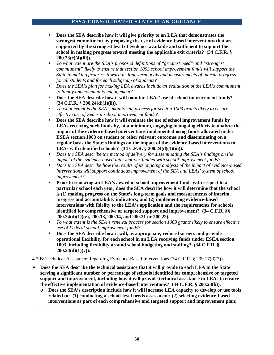- **Does the SEA describe how it will give priority to an LEA that demonstrates the strongest commitment by proposing the use of evidence-based interventions that are supported by the strongest level of evidence available and sufficient to support the school in making progress toward meeting the applicable exit criteria? (34 C.F.R. § 200.23(c)(4)(iii)).**
- *To what extent are the SEA's proposed definitions of "greatest need" and "strongest commitment" likely to ensure that section 1003 school improvement funds will support the State in making progress toward its long-term goals and measurements of interim progress for all students and for each subgroup of students?*
- *Does the SEA's plan for making LEA awards include an evaluation of the LEA's commitment to family and community engagement?*
- **Does the SEA describe how it will monitor LEAs' use of school improvement funds? (34 C.F.R. § 200.24(d)(1)(ii)).**
- *To what extent is the SEA's monitoring process for section 1003 grants likely to ensure effective use of Federal school improvement funds?*
- **Does the SEA describe how it will evaluate the use of school improvement funds by LEAs receiving such funds by, at a minimum, engaging in ongoing efforts to analyze the impact of the evidence-based interventions implemented using funds allocated under ESEA section 1003 on student or other relevant outcomes and disseminating on a regular basis the State's findings on the impact of the evidence-based interventions to LEAs with identified schools? (34 C.F.R. § 200.24(d)(1)(iii)).**
- **Phono** *Does the SEA describe the method of delivery for disseminating the SEA's findings on the impact of the evidence-based interventions funded with school improvement funds?*
- *Does the SEA describe how the results of its ongoing analysis of the impact of evidence-based interventions will support continuous improvement of the SEA and LEAs' system of school improvement?*
- **Prior to renewing an LEA's award of school improvement funds with respect to a particular school each year, does the SEA describe how it will determine that the school is (1) making progress on the State's long-term goals and measurements of interim progress and accountability indicators; and (2) implementing evidence-based interventions with fidelity to the LEA's application and the requirements for schools identified for comprehensive or targeted support and improvement? (34 C.F.R. §§ 200.24(d)(1)(iv), 200.13, 200.14, and 200.21 or 200.22).**
- *To what extent is the SEA's renewal process for section 1003 grants likely to ensure effective use of Federal school improvement funds?*
- **Does the SEA describe how it will, as appropriate, reduce barriers and provide operational flexibility for each school in an LEA receiving funds under ESEA section 1003, including flexibility around school budgeting and staffing? (34 C.F.R. § 200.24(d)(1)(v)).**

#### 4.3.B: Technical Assistance Regarding Evidence-Based Interventions (34 C.F.R. § 299.17(d)(2))

 $\overline{a}$ 

- **Does the SEA describe the technical assistance that it will provide to each LEA in the State serving a significant number or percentage of schools identified for comprehensive or targeted support and improvement, including how it will provide technical assistance to LEAs to ensure the effective implementation of evidence-based interventions? (34 C.F.R. § 200.23(b)).**
	- o **Does the SEA's description include how it will increase LEA capacity to develop or use tools related to: (1) conducting a school-level needs assessment; (2) selecting evidence-based interventions as part of each comprehensive and targeted support and improvement plan;**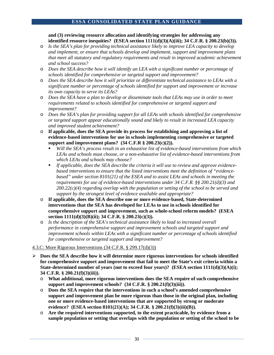**and (3) reviewing resource allocation and identifying strategies for addressing any identified resource inequities? (ESEA section 1111(d)(3)(A)(iii); 34 C.F.R. § 200.23(b)(3)).**

- o *Is the SEA's plan for providing technical assistance likely to improve LEA capacity to develop and implement, or ensure that schools develop and implement, support and improvement plans that meet all statutory and regulatory requirements and result in improved academic achievement and school success?*
- o *Does the SEA describe how it will identify an LEA with a significant number or percentage of schools identified for comprehensive or targeted support and improvement?*
- o *Does the SEA describe how it will prioritize or differentiate technical assistance to LEAs with a significant number or percentage of schools identified for support and improvement or increase its own capacity to serve its LEAs?*
- o *Does the SEA have a plan to develop or disseminate tools that LEAs may use in order to meet requirements related to schools identified for comprehensive or targeted support and improvement?*
- o *Does the SEA's plan for providing support for all LEAs with schools identified for comprehensive or targeted support appear educationally sound and likely to result in increased LEA capacity and improved student achievement?*
- o **If applicable, does the SEA provide its process for establishing and approving a list of evidence-based interventions for use in schools implementing comprehensive or targeted support and improvement plans? (34 C.F.R § 200.23(c)(2)).** 
	- *Will the SEA's process result in an exhaustive list of evidence-based interventions from which LEAs and schools must choose, or a non-exhaustive list of evidence-based interventions from which LEAs and schools may choose?*
	- *If applicable, does the SEA describe the criteria it will use to review and approve evidencebased interventions to ensure that the listed interventions meet the definition of "evidencebased" under section 8101(21) of the ESEA and to assist LEAs and schools in meeting the requirements for use of evidence-based interventions under 34 C.F.R. §§ 200.21(d)(3) and 200.22(c)(4) regarding overlap with the population or setting of the school to be served and support by the strongest level of evidence available and appropriate?*
- o **If applicable, does the SEA describe one or more evidence-based, State-determined interventions that the SEA has developed for LEAs to use in schools identified for comprehensive support and improvement, such as whole-school reform models? (ESEA section 1111(d)(3)(B)(ii); 34 C.F.R. § 200.23(c)(3)).**
- o *Is the description of the SEA's technical assistance likely to lead to increased overall performance in comprehensive support and improvement schools and targeted support and improvement schools within LEAs with a significant number or percentage of schools identified for comprehensive or targeted support and improvement?*

# 4.3.C: More Rigorous Interventions (34 C.F.R. § 299.17(d)(3))

- **Does the SEA describe how it will determine more rigorous interventions for schools identified for comprehensive support and improvement that fail to meet the State's exit criteria within a**  State-determined number of years (not to exceed four years)? (ESEA section 1111(d)(3)(A)(i); **34 C.F.R. § 200.21(f)(3)(iii)).**
	- o **What additional, more rigorous interventions does the SEA require of such comprehensive support and improvement schools? (34 C.F.R. § 200.21(f)(3)(iii)).**
	- o **Does the SEA require that the interventions in such a school's amended comprehensive support and improvement plan be more rigorous than those in the original plan, including one or more evidence-based interventions that are supported by strong or moderate evidence? (ESEA section 8101(21)(A); 34 C.F.R. § 200.21(f)(3)(iii)(B)).**
	- o **Are the required interventions supported, to the extent practicable, by evidence from a sample population or setting that overlaps with the population or setting of the school to be**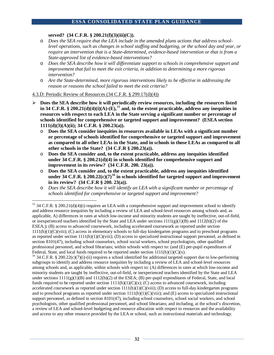**served? (34 C.F.R. § 200.21(f)(3)(iii)(C)).** 

- o *Does the SEA require that the LEA include in the amended plans actions that address schoollevel operations, such as changes in school staffing and budgeting, or the school day and year, or require an intervention that is a State-determined, evidence-based intervention or that is from a State-approved list of evidence-based interventions?*
- o *Does the SEA describe how it will differentiate support to schools in comprehensive support and improvement that fail to meet the exit criteria, in addition to determining a more rigorous intervention?*
- o *Are the State-determined, more rigorous interventions likely to be effective in addressing the reason or reasons the school failed to meet the exit criteria?*
- 4.3.D: Periodic Review of Resources (34 C.F.R. § 299.17(d)(4))
- **Does the SEA describe how it will periodically review resources, including the resources listed in 34 C.F.R. § 200.21(d)(4)(i)(A)-(E),[15](#page-32-0) and, to the extent practicable, address any inequities in resources with respect to each LEA in the State serving a significant number or percentage of schools identified for comprehensive or targeted support and improvement? (ESEA section 1111(d)(3)(A)(ii); 34 C.F.R. § 200.23(a)).** 
	- o **Does the SEA consider inequities in resources available in LEAs with a significant number or percentage of schools identified for comprehensive or targeted support and improvement as compared to all other LEAs in the State, and in schools in those LEAs as compared to all other schools in the State? (34 C.F.R § 200.23(a)).**
	- o **Does the SEA consider and, to the extent practicable, address any inequities identified under 34 C.F.R. § 200.21(d)(4) in schools identified for comprehensive support and improvement in its review? (34 C.F.R. 200. 23(a)).**
	- o **Does the SEA consider and, to the extent practicable, address any inequities identified under 34 C.F.R. § 200.22(c)(7)[16](#page-32-1) in schools identified for targeted support and improvement in its review? (34 C.F.R § 200. 23(a)).**
	- Does the SEA describe how it will identify an LEA with a significant number or percentage of *schools identified for comprehensive or targeted support and improvement?*

<span id="page-32-0"></span><sup>&</sup>lt;sup>15</sup> 34 C.F.R. § 200.21(d)(4)(i) requires an LEA with a comprehensive support and improvement school to identify and address resource inequities by including a review of LEA and school-level resources among schools and, as applicable, A) differences in rates at which low-income and minority students are taught by ineffective, out-of-field, or inexperienced teachers identified by the State and LEA under sections  $1111(g)(1)(B)$  and  $1112(b)(2)$  of the ESEA;); (B) access to advanced coursework, including accelerated coursework as reported under section 1111(h)(1)(C)(viii); (C) access in elementary schools to full-day kindergarten programs and to preschool programs as reported under section  $1111(h)(1)(C)(viii)$ ; (D) access to specialized instructional support personnel, as defined in section 8101(47), including school counselors, school social workers, school psychologists, other qualified professional personnel, and school librarians; within schools with respect to: (and  $(E)$  per-pupil expenditures of Federal, State, and local funds required to be reported under section  $111(h)(1)(C)(x)$ .

<span id="page-32-1"></span><sup>&</sup>lt;sup>16</sup> 34 C.F.R. § 200.22(c)(7)(i)-(ii) requires a school identified for additional targeted support due to low-performing subgroups to identify and address resource inequities by including a review of LEA and school-level resources among schools and, as applicable, within schools with respect to: (A) differences in rates at which low-income and minority students are taught by ineffective, out-of-field, or inexperienced teachers identified by the State and LEA under sections  $1111(g)(1)(B)$  and  $1112(b)(2)$  of the ESEA; (B) per-pupil expenditures of Federal, State, and local funds required to be reported under section  $1111(h)(1)(C(x); (C)$  access to advanced coursework, including accelerated coursework as reported under section  $1111(h)(1)(C)(viii)$ ; (D) access to full-day kindergarten programs and to preschool programs as reported under section  $1111(h)(1)(C)(viii)$ ; and (E) access to specialized instructional support personnel, as defined in section 8101(47), including school counselors, school social workers, and school psychologists, other qualified professional personnel, and school librarians; and including, at the school's discretion, a review of LEA and school-level budgeting and resource allocation with respect to resources and the availability and access to any other resource provided by the LEA or school, such as instructional materials and technology.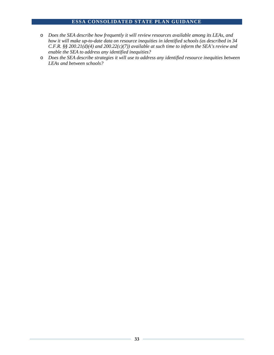- o *Does the SEA describe how frequently it will review resources available among its LEAs, and how it will make up-to-date data on resource inequities in identified schools (as described in 34 C.F.R. §§ 200.21(d)(4) and 200.22(c)(7)) available at such time to inform the SEA's review and enable the SEA to address any identified inequities?*
- o *Does the SEA describe strategies it will use to address any identified resource inequities between LEAs and between schools?*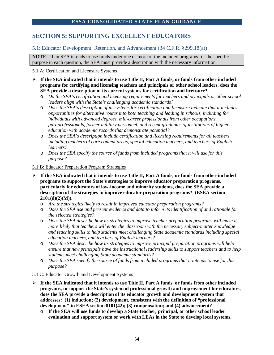# **SECTION 5: SUPPORTING EXCELLENT EDUCATORS**

# 5.1: Educator Development, Retention, and Advancement (34 C.F.R. §299.18(a))

**NOTE**: If an SEA intends to use funds under one or more of the included programs for the specific purpose in each question, the SEA must provide a description with the necessary information.

#### 5.1.A: Certification and Licensure Systems

- **If the SEA indicated that it intends to use Title II, Part A funds, or funds from other included programs for certifying and licensing teachers and principals or other school leaders, does the SEA provide a description of its current systems for certification and licensure?**
	- o *Do the SEA's certification and licensing requirements for teachers and principals or other school leaders align with the State's challenging academic standards?*
	- o *Does the SEA's description of its systems for certification and licensure indicate that it includes opportunities for alternative routes into both teaching and leading in schools, including for individuals with advanced degrees, mid-career professionals from other occupations, paraprofessionals, former military personnel, and recent graduates of institutions of higher education with academic records that demonstrate potential?*
	- o *Does the SEA's description include certification and licensing requirements for all teachers, including teachers of core content areas, special education teachers, and teachers of English learners?*
	- o *Does the SEA specify the source of funds from included programs that it will use for this purpose?*

#### 5.1.B: Educator Preparation Program Strategies

- **If the SEA indicated that it intends to use Title II, Part A funds, or funds from other included programs to support the State's strategies to improve educator preparation programs, particularly for educators of low-income and minority students, does the SEA provide a description of the strategies to improve educator preparation programs? (ESEA section 2101(d)(2)(M)).**
	- o *Are the strategies likely to result in improved educator preparation programs?*
	- o *Does the SEA use and present evidence and data to inform its identification of and rationale for the selected strategies?*
	- o *Does the SEA describe how its strategies to improve teacher preparation programs will make it more likely that teachers will enter the classroom with the necessary subject-matter knowledge and teaching skills to help students meet challenging State academic standards including special education teachers, and teachers of English learners?*
	- o *Does the SEA describe how its strategies to improve principal preparation programs will help ensure that new principals have the instructional leadership skills to support teachers and to help students meet challenging State academic standards?*
	- o *Does the SEA specify the source of funds from included programs that it intends to use for this purpose?*

#### 5.1.C: Educator Growth and Development Systems

- **If the SEA indicated that it intends to use Title II, Part A funds, or funds from other included programs, to support the State's system of professional growth and improvement for educators, does the SEA provide a description of its educator growth and development system that addresses: (1) induction; (2) development, consistent with the definition of "professional development" in ESEA section 8101(42); (3) compensation; and (4) advancement?**
	- o **If the SEA will use funds to develop a State teacher, principal, or other school leader evaluation and support system or work with LEAs in the State to develop local systems,**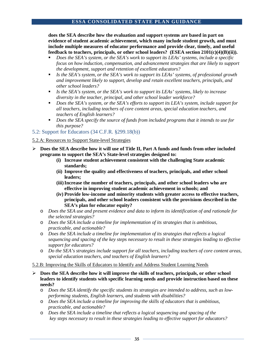**does the SEA describe how the evaluation and support systems are based in part on evidence of student academic achievement, which many include student growth, and must include multiple measures of educator performance and provide clear, timely, and useful feedback to teachers, principals, or other school leaders? (ESEA section 2101(c)(4)(B)(ii)).**

- *Does the SEA's system, or the SEA's work to support its LEAs' systems, include a specific focus on how induction, compensation, and advancement strategies that are likely to support the development, support and retention of excellent educators?*
- *Is the SEA's system, or the SEA's work to support its LEAs' systems, of professional growth and improvement likely to support, develop and retain excellent teachers, principals, and other school leaders?*
- *Is the SEA's system, or the SEA's work to support its LEAs' systems, likely to increase diversity in the teacher, principal, and other school leader workforce?*
- *Does the SEA's system, or the SEA's efforts to support its LEA's system, include support for all teachers, including teachers of core content areas, special education teachers, and teachers of English learners?*
- *Does the SEA specify the source of funds from included programs that it intends to use for this purpose?*

# 5.2: Support for Educators (34 C.F.R. §299.18(b))

# 5.2.A: Resources to Support State-level Strategies

- **Does the SEA describe how it will use of Title II, Part A funds and funds from other included programs to support the SEA's State-level strategies designed to:** 
	- **(i) Increase student achievement consistent with the challenging State academic standards;**
	- **(ii) Improve the quality and effectiveness of teachers, principals, and other school leaders;**
	- **(iii)Increase the number of teachers, principals, and other school leaders who are effective in improving student academic achievement in schools; and**
	- **(iv) Provide low-income and minority students with greater access to effective teachers, principals, and other school leaders consistent with the provisions described in the SEA's plan for educator equity?**
	- o *Does the SEA use and present evidence and data to inform its identification of and rationale for the selected strategies?*
	- o *Does the SEA include a timeline for implementation of its strategies that is ambitious, practicable, and actionable?*
	- o *Does the SEA include a timeline for implementation of its strategies that reflects a logical sequencing and spacing of the key steps necessary to result in these strategies leading to effective support for educators?*
	- o *Do the SEA's strategies include support for all teachers, including teachers of core content areas, special education teachers, and teachers of English learners?*

#### 5.2.B: Improving the Skills of Educators to Identify and Address Student Learning Needs

- **Does the SEA describe how it will improve the skills of teachers, principals, or other school leaders to identify students with specific learning needs and provide instruction based on these needs?**
	- o *Does the SEA identify the specific students its strategies are intended to address, such as lowperforming students, English learners, and students with disabilities?*
	- o *Does the SEA include a timeline for improving the skills of educators that is ambitious, practicable, and actionable?*
	- o *Does the SEA include a timeline that reflects a logical sequencing and spacing of the key steps necessary to result in these strategies leading to effective support for educators?*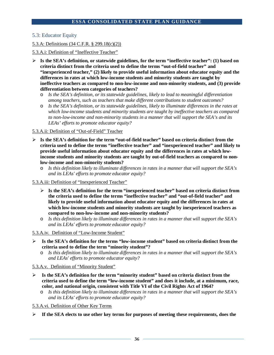# 5.3: Educator Equity

## 5.3.A: Definitions (34 C.F.R. § 299.18(c)(2))

## 5.3.A.i: Definition of "Ineffective Teacher"

- **Is the SEA's definition, or statewide guidelines, for the term "ineffective teacher": (1) based on criteria distinct from the criteria used to define the terms "out-of-field teacher" and "inexperienced teacher," (2) likely to provide useful information about educator equity and the differences in rates at which low-income students and minority students are taught by ineffective teachers as compared to non-low-income and non-minority students, and (3) provide differentiation between categories of teachers?**
	- o *Is the SEA's definition, or its statewide guidelines, likely to lead to meaningful differentiation among teachers, such as teachers that make different contributions to student outcomes?*
	- o *Is the SEA's definition, or its statewide guidelines, likely to illuminate differences in the rates at which low-income students and minority students are taught by ineffective teachers as compared to non-low-income and non-minority students in a manner that will support the SEA's and its LEAs' efforts to promote educator equity?*

## 5.3.A.ii: Definition of "Out-of-Field" Teacher

- **Is the SEA's definition for the term "out-of-field teacher" based on criteria distinct from the criteria used to define the terms "ineffective teacher" and "inexperienced teacher" and likely to provide useful information about educator equity and the differences in rates at which lowincome students and minority students are taught by out-of-field teachers as compared to nonlow-income and non-minority students?**
	- o *Is this definition likely to illuminate differences in rates in a manner that will support the SEA's and its LEAs' efforts to promote educator equity?*
- 5.3.A.iii: Definition of "Inexperienced Teacher"
	- **Is the SEA's definition for the term "inexperienced teacher" based on criteria distinct from the criteria used to define the terms "ineffective teacher" and "out-of-field teacher" and likely to provide useful information about educator equity and the differences in rates at which low-income students and minority students are taught by inexperienced teachers as compared to non-low-income and non-minority students?**
	- o *Is this definition likely to illuminate differences in rates in a manner that will support the SEA's and its LEAs' efforts to promote educator equity?*
- 5.3.A.iv. Definition of "Low-Income Student"
- **Is the SEA's definition for the terms "low-income student" based on criteria distinct from the criteria used to define the term "minority student"?** 
	- o *Is this definition likely to illuminate differences in rates in a manner that will support the SEA's and LEAs' efforts to promote educator equity?*

# 5.3.A.v. Definition of "Minority Student"

- **Is the SEA's definition for the term "minority student" based on criteria distinct from the criteria used to define the term "low-income student" and does it include, at a minimum, race, color, and national origin, consistent with Title VI of the Civil Rights Act of 1964?**
	- Is this definition likely to illuminate differences in rates in a manner that will support the SEA's *and its LEAs' efforts to promote educator equity?*

5.3.A.vi. Definition of Other Key Terms

**If the SEA elects to use other key terms for purposes of meeting these requirements, does the**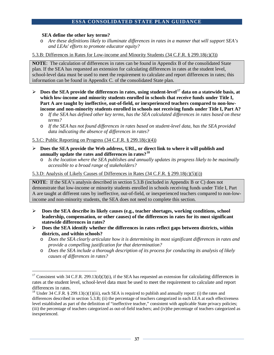#### **SEA define the other key terms?**

o *Are these definitions likely to illuminate differences in rates in a manner that will support SEA's and LEAs' efforts to promote educator equity?*

5.3.B: Differences in Rates for Low-income and Minority Students (34 C.F.R. § 299.18(c)(3))

**NOTE**: The calculation of differences in rates can be found in Appendix B of the consolidated State plan. If the SEA has requested an extension for calculating differences in rates at the student level, school-level data must be used to meet the requirement to calculate and report differences in rates; this information can be found in Appendix C. of the consolidated State plan.

- **Does the SEA provide the differences in rates, using student-level[17](#page-37-0) data on a statewide basis, at which low-income and minority students enrolled in schools that receive funds under Title I, Part A are taught by ineffective, out-of-field, or inexperienced teachers compared to non-lowincome and non-minority students enrolled in schools not receiving funds under Title I, Part A?**
	- o *If the SEA has defined other key terms, has the SEA calculated differences in rates based on these terms?*
	- o *If the SEA has not found differences in rates based on student-level data, has the SEA provided data indicating the absence of differences in rates?*

5.3.C: Public Reporting on Progress (34 C.F.R. § 299.18(c)(4))

- **Does the SEA provide the Web address, URL, or direct link to where it will publish and annually update the rates and differences in rates?[18](#page-37-1)**
	- o *Is the location where the SEA publishes and annually updates its progress likely to be maximally accessible to a broad range of stakeholders?*

#### 5.3.D: Analysis of Likely Causes of Differences in Rates (34 C.F.R. § 299.18(c)(5)(i))

**NOTE**: If the SEA's analysis described in section 5.3.B (included in Appendix B or C) does not demonstrate that low-income or minority students enrolled in schools receiving funds under Title I, Part A are taught at different rates by ineffective, out-of-field, or inexperienced teachers compared to non-lowincome and non-minority students, the SEA does not need to complete this section.

- **Does the SEA describe its likely causes (e.g., teacher shortages, working conditions, school leadership, compensation, or other causes) of the differences in rates for its most significant statewide differences in rates?**
- **Does the SEA identify whether the differences in rates reflect gaps between districts, within districts, and within schools?**
	- o *Does the SEA clearly articulate how it is determining its most significant differences in rates and provide a compelling justification for that determination?*
	- o *Does the SEA include a thorough description of its process for conducting its analysis of likely causes of differences in rates?*

<span id="page-37-0"></span> $17$  Consistent with 34 C.F.R. 299.13(d)(3)(i), if the SEA has requested an extension for calculating differences in rates at the student level, school-level data must be used to meet the requirement to calculate and report differences in rates.<br><sup>18</sup> Under 34 C.F.R. § 299.13(c)(1)(iii), each SEA is required to publish and annually report: (i) the rates and

<span id="page-37-1"></span>differences described in section 5.3.B; (ii) the percentage of teachers categorized in each LEA at each effectiveness level established as part of the definition of "ineffective teacher," consistent with applicable State privacy policies; (iii) the percentage of teachers categorized as out-of-field teachers; and (iv)the percentage of teachers categorized as inexperienced.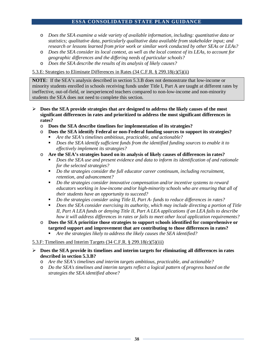- o *Does the SEA examine a wide variety of available information, including: quantitative data or statistics; qualitative data, particularly qualitative data available from stakeholder input; and research or lessons learned from prior work or similar work conducted by other SEAs or LEAs?*
- o *Does the SEA consider its local context, as well as the local context of its LEAs, to account for geographic differences and the differing needs of particular schools?*
- o *Does the SEA describe the results of its analysis of likely causes?*

## 5.3.E: Strategies to Eliminate Differences in Rates (34 C.F.R. § 299.18(c)(5)(ii)

**NOTE**: If the SEA's analysis described in section 5.3.B does not demonstrate that low-income or minority students enrolled in schools receiving funds under Title I, Part A are taught at different rates by ineffective, out-of-field, or inexperienced teachers compared to non-low-income and non-minority students the SEA does not need to complete this section.

- **Does the SEA provide strategies that are designed to address the likely causes of the most significant differences in rates and prioritized to address the most significant differences in rates?**
	- o **Does the SEA describe timelines for implementation of its strategies?**
	- o **Does the SEA identify Federal or non-Federal funding sources to support its strategies?**
		- *Are the SEA's timelines ambitious, practicable, and actionable?*
		- *Does the SEA identify sufficient funds from the identified funding sources to enable it to effectively implement its strategies?*
	- o **Are the SEA's strategies based on its analysis of likely causes of differences in rates?**
		- *Does the SEA use and present evidence and data to inform its identification of and rationale for the selected strategies?*
		- *Do the strategies consider the full educator career continuum, including recruitment, retention, and advancement?*
		- *Do the strategies consider innovative compensation and/or incentive systems to reward educators working in low-income and/or high-minority schools who are ensuring that all of their students have an opportunity to succeed?*
		- *Do the strategies consider using Title II, Part A- funds to reduce differences in rates?*
		- *Does the SEA consider exercising its authority, which may include directing a portion of Title II, Part A LEA funds or denying Title II, Part A LEA applications if an LEA fails to describe how it will address differences in rates or fails to meet other local application requirements?*
	- o **Does the SEA prioritize those strategies to support schools identified for comprehensive or targeted support and improvement that are contributing to those differences in rates?**
		- *Are the strategies likely to address the likely causes the SEA identified?*

#### 5.3.F: Timelines and Interim Targets  $(34 \text{ C.F.R.} \$   $299.18(c)(5)(iii)$

- **Does the SEA provide its timelines and interim targets for eliminating all differences in rates described in section 5.3.B?**
	- o *Are the SEA's timelines and interim targets ambitious, practicable, and actionable?*
	- o *Do the SEA's timelines and interim targets reflect a logical pattern of progress based on the strategies the SEA identified above?*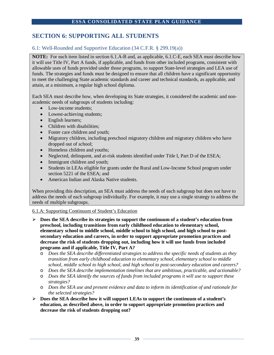# **SECTION 6: SUPPORTING ALL STUDENTS**

# 6.1: Well-Rounded and Supportive Education (34 C.F.R. § 299.19(a))

**NOTE:** For each item listed in section 6.1.A-B and, as applicable, 6.1.C-E, each SEA must describe how it will use Title IV, Part A funds, if applicable, and funds from other included programs, consistent with allowable uses of funds provided under those programs, to support State-level strategies and LEA use of funds. The strategies and funds must be designed to ensure that all children have a significant opportunity to meet the challenging State academic standards and career and technical standards, as applicable, and attain, at a minimum, a regular high school diploma.

Each SEA must describe how, when developing its State strategies, it considered the academic and nonacademic needs of subgroups of students including:

- Low-income students;
- Lowest-achieving students;
- English learners;
- Children with disabilities;
- Foster care children and youth;
- Migratory children, including preschool migratory children and migratory children who have dropped out of school;
- Homeless children and youths;
- Neglected, delinquent, and at-risk students identified under Title I, Part D of the ESEA;
- Immigrant children and youth;
- Students in LEAs eligible for grants under the Rural and Low-Income School program under section 5221 of the ESEA; and
- American Indian and Alaska Native students.

When providing this description, an SEA must address the needs of each subgroup but does not have to address the needs of each subgroup individually. For example, it may use a single strategy to address the needs of multiple subgroups.

#### 6.1.A: Supporting Continuum of Student's Education

- **Does the SEA describe its strategies to support the continuum of a student's education from preschool, including transitions from early childhood education to elementary school, elementary school to middle school, middle school to high school, and high school to postsecondary education and careers, in order to support appropriate promotion practices and decrease the risk of students dropping out, including how it will use funds from included programs and if applicable, Title IV, Part A?**
	- o *Does the SEA describe differentiated strategies to address the specific needs of students as they transition from early childhood education to elementary school, elementary school to middle school, middle school to high school, and high school to post-secondary education and careers?*
	- o *Does the SEA describe implementation timelines that are ambitious, practicable, and actionable?*
	- o *Does the SEA identify the sources of funds from included programs it will use to support these strategies?*
	- o *Does the SEA use and present evidence and data to inform its identification of and rationale for the selected strategies?*
- **Does the SEA describe how it will support LEAs to support the continuum of a student's education, as described above, in order to support appropriate promotion practices and decrease the risk of students dropping out?**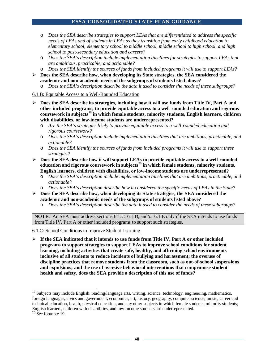- o *Does the SEA describe strategies to support LEAs that are differentiated to address the specific needs of LEAs and of students in LEAs as they transition from early childhood education to elementary school, elementary school to middle school, middle school to high school, and high school to post-secondary education and careers?*
- o *Does the SEA's description include implementation timelines for strategies to support LEAs that are ambitious, practicable, and actionable?*
- o *Does the SEA identify the sources of funds from included programs it will use to support LEAs?*
- **Does the SEA describe how, when developing its State strategies, the SEA considered the academic and non-academic needs of the subgroups of students listed above?** 
	- Does the SEA's description describe the data it used to consider the needs of these subgroups?
- 6.1.B: Equitable Access to a Well-Rounded Education
- **Does the SEA describe its strategies, including how it will use funds from Title IV, Part A and other included programs, to provide equitable access to a well-rounded education and rigorous coursework in subjects**[19](#page-40-0) **in which female students, minority students, English learners, children with disabilities, or low-income students are underrepresented?**
	- o *Are the SEA's strategies likely to provide equitable access to a well-rounded education and rigorous coursework?*
	- o *Does the SEA's description include implementation timelines that are ambitious, practicable, and actionable?*
	- o *Does the SEA identify the sources of funds from included programs it will use to support these strategies?*
- **Does the SEA describe how it will support LEAs to provide equitable access to a well-rounded education and rigorous coursework in subjects**[20](#page-40-1) **in which female students, minority students, English learners, children with disabilities, or low-income students are underrepresented?**
	- o *Does the SEA's description include implementation timelines that are ambitious, practicable, and actionable?*
	- o *Does the SEA's description describe how it considered the specific needs of LEAs in the State?*
- **Does the SEA describe how, when developing its State strategies, the SEA considered the academic and non-academic needs of the subgroups of students listed above?**
	- o *Does the SEA's description describe the data it used to consider the needs of these subgroups?*

**NOTE**: An SEA must address sections 6.1.C, 6.1.D, and/or 6.1.E only if the SEA intends to use funds from Title IV, Part A or other included programs to support such strategies.

6.1.C: School Conditions to Improve Student Learning

 **If the SEA indicated that it intends to use funds from Title IV, Part A or other included programs to support strategies to support LEAs to improve school conditions for student learning, including activities that create safe, healthy, and affirming school environments inclusive of all students to reduce incidents of bullying and harassment; the overuse of discipline practices that remove students from the classroom, such as out-of-school suspensions and expulsions; and the use of aversive behavioral interventions that compromise student health and safety, does the SEA provide a description of this use of funds?**

<span id="page-40-0"></span><sup>&</sup>lt;sup>19</sup> Subiects may include English, reading/language arts, writing, science, technology, engineering, mathematics, foreign languages, civics and government, economics, art, history, geography, computer science, music, career and technical education, health, physical education, and any other subjects in which female students, minority students, English learners, children with disabilities, and low-income students are underrepresented. <sup>20</sup> See footnote 19.

<span id="page-40-1"></span>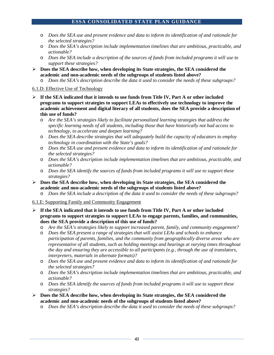- o *Does the SEA use and present evidence and data to inform its identification of and rationale for the selected strategies?*
- o *Does the SEA's description include implementation timelines that are ambitious, practicable, and actionable?*
- o *Does the SEA include a description of the sources of funds from included programs it will use to support these strategies?*
- **Does the SEA describe how, when developing its State strategies, the SEA considered the academic and non-academic needs of the subgroups of students listed above?**
	- o *Does the SEA's description describe the data it used to consider the needs of these subgroups?*

#### 6.1.D: Effective Use of Technology

- **If the SEA indicated that it intends to use funds from Title IV, Part A or other included programs to support strategies to support LEAs to effectively use technology to improve the academic achievement and digital literacy of all students, does the SEA provide a description of this use of funds?**
	- o *Are the SEA's strategies likely to facilitate personalized learning strategies that address the specific learning needs of all students, including those that have historically not had access to technology, to accelerate and deepen learning?*
	- o *Does the SEA describe strategies that will adequately build the capacity of educators to employ technology in coordination with the State's goals?*
	- o *Does the SEA use and present evidence and data to inform its identification of and rationale for the selected strategies?*
	- o *Does the SEA's description include implementation timelines that are ambitious, practicable, and actionable?*
	- o *Does the SEA identify the sources of funds from included programs it will use to support these strategies?*
- **Does the SEA describe how, when developing its State strategies, the SEA considered the academic and non-academic needs of the subgroups of students listed above?**
	- o *Does the SEA include a description of the data it used to consider the needs of these subgroups?*

# 6.1.E: Supporting Family and Community Engagement

- **If the SEA indicated that it intends to use funds from Title IV, Part A or other included programs to support strategies to support LEAs to engage parents, families, and communities, does the SEA provide a description of this use of funds?** 
	- o *Are the SEA's strategies likely to support increased parent, family, and community engagement?*
	- o *Does the SEA present a range of strategies that will assist LEAs and schools to enhance participation of parents, families, and the community from geographically diverse areas who are representative of all students, such as holding meetings and hearings at varying times throughout the day and ensuring they are accessible to all participants (e.g., through the use of translators, interpreters, materials in alternate formats)?*
	- o *Does the SEA use and present evidence and data to inform its identification of and rationale for the selected strategies?*
	- o *Does the SEA's description include implementation timelines that are ambitious, practicable, and actionable?*
	- o *Does the SEA identify the sources of funds from included programs it will use to support these strategies?*
- **Does the SEA describe how, when developing its State strategies, the SEA considered the academic and non-academic needs of the subgroups of students listed above?**
	- o *Does the SEA's description describe the data it used to consider the needs of these subgroups?*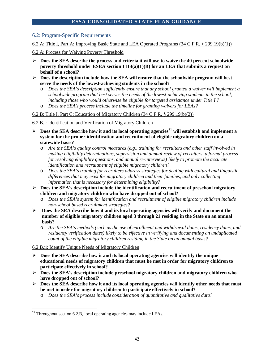## 6.2: Program-Specific Requirements

6.2.A: Title I, Part A: Improving Basic State and LEA Operated Programs (34 C.F.R. § 299.19(b)(1))

## 6.2.A: Process for Waiving Poverty Threshold

- **Does the SEA describe the process and criteria it will use to waive the 40 percent schoolwide poverty threshold under ESEA section 1114(a)(1)(B) for an LEA that submits a request on behalf of a school?**
- **Does the description include how the SEA will ensure that the schoolwide program will best serve the needs of the lowest-achieving students in the school?** 
	- o *Does the SEA's description sufficiently ensure that any school granted a waiver will implement a schoolwide program that best serves the needs of the lowest-achieving students in the school, including those who would otherwise be eligible for targeted assistance under Title I ?*
	- o *Does the SEA's process include the timeline for granting waivers for LEAs?*

## 6.2.B: Title I, Part C: Education of Migratory Children (34 C.F.R. § 299.19(b)(2))

## 6.2.B.i: Identification and Verification of Migratory Children

- $\triangleright$  Does the SEA describe how it and its local operating agencies<sup>[21](#page-42-0)</sup> will establish and implement a **system for the proper identification and recruitment of eligible migratory children on a statewide basis?**
	- o *Are the SEA's quality control measures (e.g., training for recruiters and other staff involved in making eligibility determinations, supervision and annual review of recruiters, a formal process for resolving eligibility questions, and annual re-interviews) likely to promote the accurate identification and recruitment of eligible migratory children?*
	- o *Does the SEA's training for recruiters address strategies for dealing with cultural and linguistic differences that may exist for migratory children and their families, and only collecting information that is necessary for determining eligibility?*
- **Does the SEA's description include the identification and recruitment of preschool migratory children and migratory children who have dropped out of school?**
	- o *Does the SEA's system for identification and recruitment of eligible migratory children include non-school based recruitment strategies?*
- **Does the SEA describe how it and its local operating agencies will verify and document the number of eligible migratory children aged 3 through 21 residing in the State on an annual basis?**
	- o *Are the SEA's methods (such as the use of enrollment and withdrawal dates, residency dates, and residency verification dates) likely to be effective in verifying and documenting an unduplicated count of the eligible migratory children residing in the State on an annual basis?*

#### 6.2.B.ii: Identify Unique Needs of Migratory Children

- $\triangleright$  Does the SEA describe how it and its local operating agencies will identify the unique **educational needs of migratory children that must be met in order for migratory children to participate effectively in school?**
- **Does the SEA's description include preschool migratory children and migratory children who have dropped out of school?**
- **Does the SEA describe how it and its local operating agencies will identify other needs that must be met in order for migratory children to participate effectively in school?**
	- o *Does the SEA's process include consideration of quantitative and qualitative data?*

<span id="page-42-0"></span> $21$  Throughout section 6.2.B, local operating agencies may include LEAs.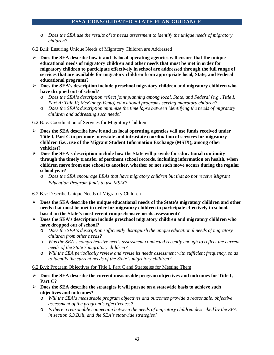- o *Does the SEA use the results of its needs assessment to identify the unique needs of migratory children?*
- 6.2.B.iii: Ensuring Unique Needs of Migratory Children are Addressed
- $\triangleright$  Does the SEA describe how it and its local operating agencies will ensure that the unique **educational needs of migratory children and other needs that must be met in order for migratory children to participate effectively in school are addressed through the full range of services that are available for migratory children from appropriate local, State, and Federal educational programs?**
- **Does the SEA's description include preschool migratory children and migratory children who have dropped out of school?**
	- o *Does the SEA's description reflect joint planning among local, State, and Federal (e.g., Title I, Part A; Title II; McKinney-Vento) educational programs serving migratory children?*
	- o *Does the SEA's description minimize the time lapse between identifying the needs of migratory children and addressing such needs?*

#### 6.2.B.iv: Coordination of Services for Migratory Children

- **Does the SEA describe how it and its local operating agencies will use funds received under Title I, Part C to promote interstate and intrastate coordination of services for migratory children (i.e., use of the Migrant Student Information Exchange (MSIX), among other vehicles)?**
- **Does the SEA's description include how the State will provide for educational continuity through the timely transfer of pertinent school records, including information on health, when children move from one school to another, whether or not such move occurs during the regular school year?**
	- o *Does the SEA encourage LEAs that have migratory children but that do not receive Migrant Education Program funds to use MSIX?*

# 6.2.B.v: Describe Unique Needs of Migratory Children

- **Does the SEA describe the unique educational needs of the State's migratory children and other needs that must be met in order for migratory children to participate effectively in school, based on the State's most recent comprehensive needs assessment?**
- **Does the SEA's description include preschool migratory children and migratory children who have dropped out of school?**
	- o *Does the SEA's description sufficiently distinguish the unique educational needs of migratory children from other needs?*
	- o *Was the SEA's comprehensive needs assessment conducted recently enough to reflect the current needs of the State's migratory children?*
	- o *Will the SEA periodically review and revise its needs assessment with sufficient frequency, so as to identify the current needs of the State's migratory children?*

#### 6.2.B.vi: Program Objectives for Title I, Part C and Strategies for Meeting Them

- **Does the SEA describe the current measurable program objectives and outcomes for Title I, Part C?**
- **Does the SEA describe the strategies it will pursue on a statewide basis to achieve such objectives and outcomes?**
	- o *Will the SEA's measurable program objectives and outcomes provide a reasonable, objective assessment of the program's effectiveness?*
	- o *Is there a reasonable connection between the needs of migratory children described by the SEA in section 6.3.B.iii, and the SEA's statewide strategies?*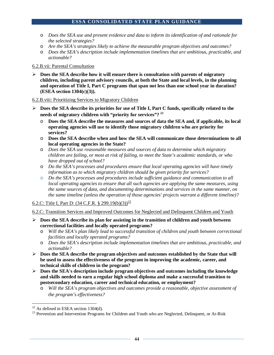- o *Does the SEA use and present evidence and data to inform its identification of and rationale for the selected strategies?*
- o *Are the SEA's strategies likely to achieve the measurable program objectives and outcomes?*
- o *Does the SEA's description include implementation timelines that are ambitious, practicable, and actionable?*

#### 6.2.B.vii: Parental Consultation

 **Does the SEA describe how it will ensure there is consultation with parents of migratory children, including parent advisory councils, at both the State and local levels, in the planning and operation of Title I, Part C programs that span not less than one school year in duration? (ESEA section 1304(c)(3)).**

#### 6.2.B.viii: Prioritizing Services to Migratory Children

- **Does the SEA describe its priorities for use of Title I, Part C funds, specifically related to the needs of migratory children with "priority for services"? [22](#page-44-0)**
	- o **Does the SEA describe the measures and sources of data the SEA and, if applicable, its local operating agencies will use to identify those migratory children who are priority for services?**
	- o **Does the SEA describe when and how the SEA will communicate those determinations to all local operating agencies in the State?**
	- o *Does the SEA use reasonable measures and sources of data to determine which migratory children are failing, or most at risk of failing, to meet the State's academic standards, or who have dropped out of school?*
	- o *Do the SEA's processes and procedures ensure that local operating agencies will have timely information as to which migratory children should be given priority for services?*
	- o *Do the SEA's processes and procedures include sufficient guidance and communication to all local operating agencies to ensure that all such agencies are applying the same measures, using the same sources of data, and documenting determinations and services in the same manner, on the same timeline (unless the operation of those agencies' projects warrant a different timeline)?*

# 6.2.C: Title I, Part D:  $(34 \text{ C.F.R.} \text{ § } 299.19(b)(3))^{23}$  $(34 \text{ C.F.R.} \text{ § } 299.19(b)(3))^{23}$  $(34 \text{ C.F.R.} \text{ § } 299.19(b)(3))^{23}$

6.2.C: Transition Services and Improved Outcomes for Neglected and Delinquent Children and Youth

- **Does the SEA describe its plan for assisting in the transition of children and youth between correctional facilities and locally operated programs?**
	- o *Will the SEA's plan likely lead to successful transition of children and youth between correctional facilities and locally operated programs?*
	- o *Does the SEA's description include implementation timelines that are ambitious, practicable, and actionable?*
- **Does the SEA describe the program objectives and outcomes established by the State that will be used to assess the effectiveness of the program in improving the academic, career, and technical skills of children in the program?**
- **Does the SEA's description include program objectives and outcomes including the knowledge and skills needed to earn a regular high school diploma and make a successful transition to postsecondary education, career and technical education, or employment?** 
	- o *Will the SEA's program objectives and outcomes provide a reasonable, objective assessment of the program's effectiveness?*

<span id="page-44-1"></span><span id="page-44-0"></span><sup>&</sup>lt;sup>22</sup> As defined in ESEA section 1304(d).<br><sup>23</sup> Prevention and Intervention Programs for Children and Youth who are Neglected, Delinquent, or At-Risk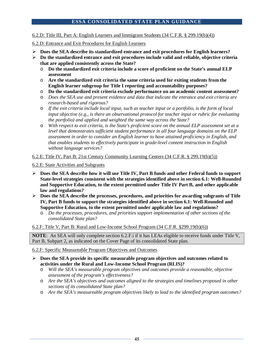#### 6.2.D: Title III, Part A: English Learners and Immigrant Students (34 C.F.R. § 299.19(b)(4))

#### 6.2.D: Entrance and Exit Procedures for English Learners

- **Does the SEA describe its standardized entrance and exit procedures for English learners?**
- **Do the standardized entrance and exit procedures include valid and reliable, objective criteria that are applied consistently across the State?**
	- o **Do the standardized exit criteria include a score of proficient on the State's annual ELP assessment**
	- o **Are the standardized exit criteria the same criteria used for exiting students from the English learner subgroup for Title I reporting and accountability purposes?**
	- o **Do the standardized exit criteria exclude performance on an academic content assessment?**
	- o *Does the SEA use and present evidence and data that indicate the entrance and exit criteria are research-based and rigorous?*
	- o *If the exit criteria include local input, such as teacher input or a portfolio, is the form of local input objective (e.g., is there an observational protocol for teacher input or rubric for evaluating the portfolio) and applied and weighted the same way across the State?*
	- o *With respect to exit criteria, is the State's proficient score on the annual ELP assessment set at a level that demonstrates sufficient student performance in all four language domains on the ELP assessment in order to consider an English learner to have attained proficiency in English, and that enables students to effectively participate in grade-level content instruction in English without language services?*

#### 6.2.E: Title IV, Part B: 21st Century Community Learning Centers (34 C.F.R. § 299.19(b)(5))

6.2.E: State Activities and Subgrants

- **Does the SEA describe how it will use Title IV, Part B funds and other Federal funds to support State-level strategies consistent with the strategies identified above in section 6.1: Well-Rounded and Supportive Education, to the extent permitted under Title IV Part B, and other applicable law and regulations?**
- **Does the SEA describe the processes, procedures, and priorities for awarding subgrants of Title IV, Part B funds to support the strategies identified above in section 6.1: Well-Rounded and Supportive Education, to the extent permitted under applicable law and regulations?**
	- o *Do the processes, procedures, and priorities support implementation of other sections of the consolidated State plan?*

#### 6.2.F: Title V, Part B: Rural and Low-Income School Program (34 C.F.R. §299.19(b)(6))

**NOTE**: An SEA will only complete section 6.2.F.i if it has LEAs eligible to receive funds under Title V, Part B, Subpart 2, as indicated on the Cover Page of its consolidated State plan.

#### 6.2.F: Specific Measureable Program Objectives and Outcomes

- **Does the SEA provide its specific measurable program objectives and outcomes related to activities under the Rural and Low-Income School Program (RLIS)?**
	- Will the SEA's measurable program objectives and outcomes provide a reasonable, objective *assessment of the program's effectiveness?*
	- o *Are the SEA's objectives and outcomes aligned to the strategies and timelines proposed in other sections of its consolidated State plan?*
	- o *Are the SEA's measureable program objectives likely to lead to the identified program outcomes?*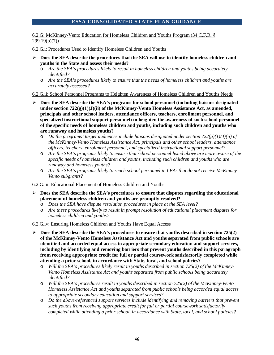6.2.G: McKinney-Vento Education for Homeless Children and Youths Program (34 C.F.R. § 299.19(b)(7))

6.2.G.i: Procedures Used to Identify Homeless Children and Youths

- **Does the SEA describe the procedures that the SEA will use to identify homeless children and youths in the State and assess their needs?** 
	- o *Are the SEA's procedures likely to result in homeless children and youths being accurately identified?*
	- o *Are the SEA's procedures likely to ensure that the needs of homeless children and youths are accurately assessed?*

6.2.G.ii: School Personnel Programs to Heighten Awareness of Homeless Children and Youths Needs

- **Does the SEA describe the SEA's programs for school personnel (including liaisons designated under section 722(g)(1)(J)(ii) of the McKinney-Vento Homeless Assistance Act, as amended, principals and other school leaders, attendance officers, teachers, enrollment personnel, and specialized instructional support personnel) to heighten the awareness of such school personnel of the specific needs of homeless children and youths, including such children and youths who are runaway and homeless youths?** 
	- o *Do the programs' target audiences include liaisons designated under section 722(g)(1)(J)(ii) of the McKinney-Vento Homeless Assistance Act, principals and other school leaders, attendance officers, teachers, enrollment personnel, and specialized instructional support personnel?*
	- o *Are the SEA's programs likely to ensure that school personnel listed above are more aware of the specific needs of homeless children and youths, including such children and youths who are runaway and homeless youths?*
	- o *Are the SEA's programs likely to reach school personnel in LEAs that do not receive McKinney-Vento subgrants?*

#### 6.2.G.iii: Educational Placement of Homeless Children and Youths

- **Does the SEA describe the SEA's procedures to ensure that disputes regarding the educational placement of homeless children and youths are promptly resolved?**
	- o *Does the SEA have dispute resolution procedures in place at the SEA level?*
	- o *Are these procedures likely to result in prompt resolution of educational placement disputes for homeless children and youths?*

#### 6.2.G.iv: Ensuring Homeless Children and Youths Have Equal Access

- $\triangleright$  Does the SEA describe the SEA's procedures to ensure that youths described in section 725(2) **of the McKinney-Vento Homeless Assistance Act and youths separated from public schools are identified and accorded equal access to appropriate secondary education and support services, including by identifying and removing barriers that prevent youths described in this paragraph from receiving appropriate credit for full or partial coursework satisfactorily completed while attending a prior school, in accordance with State, local, and school policies?** 
	- o *Will the SEA's procedures likely result in youths described in section 725(2) of the McKinney-Vento Homeless Assistance Act and youths separated from public schools being accurately identified?*
	- o *Will the SEA's procedures result in youths described in section 725(2) of the McKinney-Vento Homeless Assistance Act and youths separated from public schools being accorded equal access to appropriate secondary education and support services?*
	- o *Do the above-referenced support services include identifying and removing barriers that prevent such youths from receiving appropriate credit for full or partial coursework satisfactorily completed while attending a prior school, in accordance with State, local, and school policies?*